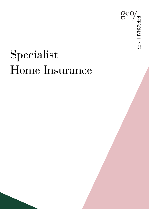

# Specialist Home Insurance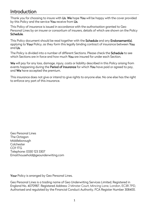### Introduction

Thank you for choosing to insure with Us. We hope You will be happy with the cover provided by this Policy and the service You receive from Us.

This Policy of insurance is issued in accordance with the authorisation granted to Geo Personal Lines by an insurer or consortium of insurers, details of which are shown on the Policy Schedule.

This Policy document should be read together with the Schedule and any Endorsement(s), applying to Your Policy, as they form this legally binding contract of insurance between You and Us.

The Policy is divided into a number of different Sections. Please check the Schedule to see which Sections are in force and how much You are insured for under each Section.

We will pay for any loss, damage, injury, costs or liability described in this Policy arising from events happening during the Period of Insurance for which You have paid or agreed to pay, and We have accepted the premium.

This insurance does not give or intend to give rights to anyone else. No one else has the right to enforce any part of this insurance.

Geo Personal Lines The Octagon Middleborough **Colchester** CO1 1TG Telephone: 0330 123 3307 Email:household@geounderwriting.com

Your Policy is arranged by Geo Personal Lines.

Geo Personal Lines is a trading name of Geo Underwriting Services Limited, Registered in England No. 4070987. Registered Address: 2 Minster Court, Mincing Lane, London, EC3R 7PD, Authorised and regulated by the Financial Conduct Authority. FCA Register Number 308400.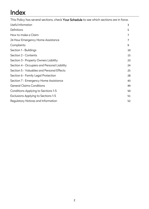| This Policy has several sections, check Your Schedule to see which sections are in force. |    |
|-------------------------------------------------------------------------------------------|----|
| Useful Information                                                                        | 3  |
| Definitions                                                                               | 5  |
| How to make a Claim                                                                       | 7  |
| 24 Hour Emergency Home Assistance                                                         | 7  |
| Complaints                                                                                | 9  |
| Section 1 - Buildings                                                                     | 10 |
| Section 2 - Contents                                                                      | 15 |
| Section 3 - Property Owners Liability                                                     | 23 |
| Section 4 - Occupiers and Personal Liability                                              | 24 |
| Section 5 - Valuables and Personal Effects                                                | 25 |
| Section 6 - Family Legal Protection                                                       | 28 |
| Section 7 - Emergency Home Assistance                                                     | 43 |
| <b>General Claims Conditions</b>                                                          | 49 |
| Conditions Applying to Sections 1-5                                                       | 50 |
| Exclusions Applying to Sections 1-5                                                       | 51 |
| Regulatory Notices and Information                                                        | 52 |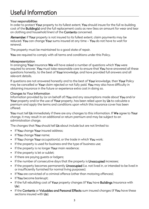## <span id="page-3-0"></span>Useful Information

#### Your responsibilities

In order to protect Your property to its fullest extent, You should insure for the full re-building cost of the Building(s) and the full replacement costs as new (less an amount for wear and tear on clothing and household linen) of the Contents concerned.

Remember, if Your property is not insured to its fullest extent, claim payments may be reduced. You can change Your sums insured at any time – You do not have to wait for renewal.

The property must be maintained to a good state of repair.

You are required to comply with all terms and conditions under this Policy.

#### Misrepresentation

In arranging Your insurance We will have asked a number of questions which You were required to answer. You must take reasonable care to ensure that You have answered all these questions honestly, to the best of Your knowledge, and have provided full answers and all relevant details.

If questions are not answered honestly and to the best of **Your** knowledge, then **Your** Policy may be cancelled or Your claim rejected or not fully paid. You may also have difficulty in obtaining insurance in the future or experience extra cost in doing so.

#### Changes to Your Information

Information provided by (or on behalf of) You and any assumptions made about You and/or Your property and/or the use of Your property, has been relied upon by Us to calculate a premium and apply the terms and conditions upon which this insurance cover has been offered.

You must tell Us immediately if there are any changes to this information. If We agree to Your change, it may result in an additional or return premium and may be subject to an administration charge.

The changes that You should tell Us about include but are not limited to:

- If You change Your insured address;
- If You change Your name;
- If You change Your occupation(s), or the trade in which You work;
- If the property is used for business and the type of business use;
- If the property is no longer Your main residence;
- If the property is let or sublet;
- If there are paying guests or lodgers;
- If the number of consecutive days that the property is Unoccupied increases;
- If the property becomes permanently Unoccupied (i.e. not lived in, or intended to be lived in or insufficiently furnished for normal living purposes);
- If You are convicted of a criminal offence (other than motoring offences);
- If **You** become bankrupt;
- If the full rebuilding cost of Your property changes (if You have Buildings Insurance with Us);
- If the Contents or Valuables and Personal Effects sum insured changes (if You have these sections insured with Us);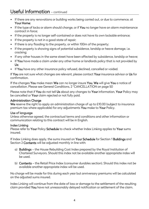- If there are any renovations or building works being carried out, or due to commence, at Your Home;
- If the type of locks or alarm should change, or if You no longer have an alarm maintenance contract in force;
- If the property is no longer self-contained or does not have its own lockable entrance;
- If the property is not in a good state of repair;
- If there is any flooding to the property, or within 100m of the property;
- If the property is showing signs of potential subsidence, landslip or heave damage, i.e. cracking;
- If any other houses in the same street have been affected by subsidence, landslip or heave;
- If You have made a claim under any other home or landlords policy that is not provided by Us;
- If You have any other insurance policy refused, declined, cancelled or voided.

If You are not sure what changes are relevant, please contact Your insurance advisor or Us for confirmation.

If the changes You make mean We can no longer insure You, We will give You a notice of cancellation. Please see General Conditions, 2 ["CANCELLATION](#page-50-1) on page [50](#page-50-1)

Please note that if You do not tell Us about any changes to Your information, Your Policy may be cancelled or Your claim rejected or not fully paid.

#### Administration Charge

We reserve the right to apply an administration charge of up to £10.00 (subject to insurance premium tax where applicable) for any adjustments You make to Your Policy.

#### Use of language

Unless otherwise agreed, the contractual terms and conditions and other information or communication relating to this contract will be in English.

#### Index Linking

Please refer to Your Policy Schedule to check whether Index Linking applies to Your sums insured.

If Index Linking does apply, the sums insured on Your Schedule for Section 1 Buildings and Section 2 Contents will be adjusted monthly in line with:

- a) Buildings the House Rebuilding Cost Index prepared by the Royal Institution of Chartered Surveyors. Should this index not be available another appropriate index will be used.
- b) Contents the Retail Price Index (consumer durables section). Should this index not be available another appropriate index will be used.

No charge will be made for this during each year but anniversary premiums will be calculated on the adjusted sums insured.

Index Linking will continue from the date of loss or damage to the settlement of the resulting claim provided You have not unreasonably delayed notification or settlement of the claim.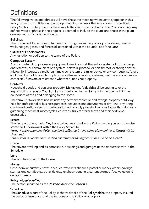<span id="page-5-0"></span>Definitions<br>The following words and phrases will have the same meaning wherever they appear in this Policy, other than in titles and paragraph headings, unless otherwise shown in a particular Policy Section. To help identify these words they will appear in **bold** in this Policy wording. Any defined word or phrase in the singular is deemed to include the plural and those in the plural are deemed to include the singular.

#### Buildings

The Home and its permanent fixtures and fittings, swimming pools, paths, drives, terraces, walls, hedges, gates, and fences all contained within the boundaries of the Land.

#### Clauses or Endorsements

Any variation or addition to the terms of the Policy.

#### Computer System

Any computer, data processing equipment media or part thereof, or system of data storage and retrieval, or communications system, network, protocol or part thereof, or storage device, microchip, integrated circuit, real time clock system or similar device or any computer software (including but not limited to application software, operating systems, runtime environments or compilers), firmware or microcode whether or not Your property.

#### **Contents**

Household goods and personal property. Money and Valuables all belonging to or the responsibility of You or Your Family and contained in the Home or in the open within the boundaries of the Land belonging to the Home.

The term Contents does not include: any permanent fixture and fittings, property or Money held for professional or business purposes, securities and documents of any kind, any living creature aircraft, hovercraft, watercraft, mechanically propelled vehicles (other than domestic gardening machines), motorcycles, caravans, trailers, trailer tents and their parts and accessories.

#### Excess

The first part of any claim You have to bear as stated in the Policy wording unless otherwise stated by Endorsement within the Policy Schedule.

Note: -If more than one Policy section is affected by the same claim only one Excess will be deducted.

If the Excesses under each section are different the higher Excess will be deducted.

#### Home

The private dwelling and its domestic outbuildings and garages at the address shown in the Schedule.

#### Land

The land belonging to the Home.

#### **Money**

Cash, bank or currency notes, cheques, travellers cheques, postal or money orders, savings stamps and certificates, travel tickets, luncheon vouchers, current stamps (face value only) and gift tokens.

#### Policyholder/You/Your

The person(s) named as the Policyholder in the Schedule.

#### **Schedule**

The Schedule is part of the Policy. It shows details of the Policyholder, the property insured, the period of insurance, and the sections of the Policy which apply.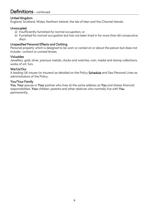#### United Kingdom

England, Scotland, Wales, Northern Ireland, the Isle of Man and the Channel Islands.

#### Unoccupied

- a) Insufficiently furnished for normal occupation, or
- b) Furnished for normal occupation but has not been lived in for more than 60 consecutive days.

#### Unspecified Personal Effects and Clothing

Personal property which is designed to be worn or carried on or about the person but does not include:- contact or corneal lenses.

#### Valuables

Jewellery, gold, silver, precious metals, clocks and watches, coin, medal and stamp collections, works of art, furs.

#### We/Us/Our

A leading UK insurer (or insurers) as detailed on the Policy Schedule and Geo Personal Lines as administrators of the Policy.

#### You/Your Family

You, Your spouse or Your partner who lives at the same address as You and shares financial responsibilities, Your children, parents and other relatives who normally live with You permanently.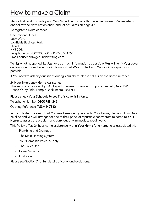### <span id="page-7-0"></span>How to make a Claim

Please first read this Policy and Your Schedule to check that You are covered. Please refer to and follow the [Notification and Conduct of Claims](#page-49-1) on page [49.](#page-49-1)

To register a claim contact

Geo Personal Lines Lacy Way, Lowfields Business Park, Elland, HX5 9DB Telephone on 01302 303 650 or 0345 074 4760 Email household@geounderwriting.com

Tell Us what happened. Let Us have as much information as possible. We will verify Your cover and arrange to send You a claim form so that We can deal with Your claim as quickly as possible.

If You need to ask any questions during Your claim, please call Us on the above number.

#### <span id="page-7-1"></span>24 Hour Emergency Home Assistance

This service is provided by DAS Legal Expenses Insurance Company Limited (DAS), DAS House, Quay Side, Temple Back, Bristol, BS1 6NH.

#### Please check Your Schedule to see if this cover is in force.

Telephone Number: 0800 783 1246

Quoting Reference: TS3/414 7340

In the unfortunate event that You need emergency repairs to Your Home, please call our DAS helpline and We will arrange for one of their panel of reputable contractors to come to Your Home to assess the problem and carry out any immediate repair work.

This Policy offers 24 hour home assistance within Your Home for emergencies associated with:

- Plumbing and Drainage
- The Main Heating System
- Your Domestic Power Supply
- The Toilet Unit
- Home Security
- Lost Keys

Please see Section 7 for full details of cover and exclusions.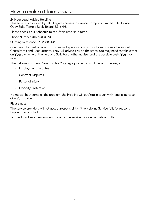### How to make a Claim – continued

#### 24 Hour Legal Advice Helpline

This service is provided by DAS Legal Expenses Insurance Company Limited, DAS House, Quay Side, Temple Back, Bristol BS1 6NH.

Please check Your Schedule to see if this cover is in force.

Phone Number: 0117 934 0570

Quoting Reference: TS3/3685436

Confidential expert advice from a team of specialists, which includes Lawyers, Personnel Consultants and Accountants. They will advise You on the steps You may need to take either on Your own or with the help of a Solicitor or other adviser and the possible costs You may incur.

The Helpline can assist You to solve Your legal problems on all areas of the law, e.g.:

- Employment Disputes
- Contract Disputes
- Personal Injury
- Property Protection

No matter how complex the problem, the Helpline will put You in touch with legal experts to give You advice.

#### Please note

The service providers will not accept responsibility if the Helpline Service fails for reasons beyond their control.

To check and improve service standards, the service provider records all calls.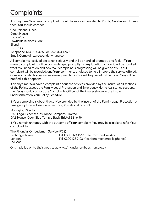# <span id="page-9-0"></span>**Complaints**

If at any time You have a complaint about the services provided to You by Geo Personal Lines, then You should contact:

Geo Personal Lines, Direct House, Lacy Way, Lowfields Business Park, Elland, HX5 9DB. Telephone: 01302 303 650 or 0345 074 4760 Email: Complaints@geounderwriting.com

All complaints received are taken seriously and will be handled promptly and fairly. If You make a complaint it will be acknowledged promptly, an explanation of how it will be handled, what You need to do and how Your complaint is progressing will be given to You. Your complaint will be recorded, and Your comments analysed to help improve the service offered. Complaints which Your insurer are required to resolve will be passed to them and You will be notified if this happens.

If at any time You have a complaint about the services provided by the insurer of all sections of the Policy, except the Family Legal Protection and Emergency Home Assistance sections, then You should contact the Complaints Officer of the insurer shown in the insurer Endorsement on Your Policy Schedule.

If Your complaint is about the service provided by the insurer of the Family Legal Protection or Emergency Home Assistance Sections, You should contact:

Managing Director DAS Legal Expenses Insurance Company Limited DAS House, Quay Side Temple Back, Bristol BS1 6NH

If You remain unhappy with the outcome of Your complaint You may be eligible to refer Your complaint to:

The Financial Ombudsman Service (FOS) Exchange Tower Tel: 0800 023 4567 (free from landlines) or London Tel: 0300 123 9123 (free from most mobile phones) E14 9SR

Or simply log on to their website at: www.financial-ombudsman.org.uk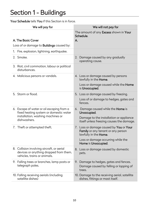# <span id="page-10-0"></span>Section 1 - Buildings

Your Schedule tells You if this Section is in force.

| We will pay for                                                                                                                          | We will not pay for                                                                                                                                                               |
|------------------------------------------------------------------------------------------------------------------------------------------|-----------------------------------------------------------------------------------------------------------------------------------------------------------------------------------|
| A. The Basic Cover<br>Loss of or damage to <b>Buildings</b> caused by:                                                                   | The amount of any Excess shown in Your<br>Schedule.<br>А.                                                                                                                         |
| Fire, explosion, lightning, earthquake.<br>1.                                                                                            |                                                                                                                                                                                   |
| 2. Smoke.                                                                                                                                | Damage caused by any gradually<br>2.<br>operating cause.                                                                                                                          |
| 3. Riot, civil commotion, labour or political<br>disturbances.                                                                           |                                                                                                                                                                                   |
| 4. Malicious persons or vandals.                                                                                                         | 4. Loss or damage caused by persons<br>lawfully in the Home.<br>Loss or damage caused while the <b>Home</b><br>is Unoccupied.                                                     |
| 5. Storm or flood.                                                                                                                       | 5. Loss or damage caused by freezing.<br>Loss of or damage to hedges, gates and<br>fences.                                                                                        |
| 6. Escape of water or oil escaping from a<br>fixed heating system or domestic water<br>installation, washing machines or<br>dishwashers. | 6. Damage caused while the <b>Home</b> is<br>Unoccupied.<br>Damage to the installation or appliance<br>itself unless freezing causes the damage.                                  |
| 7. Theft or attempted theft.                                                                                                             | 7. Loss or damage caused by <b>You</b> or <b>Your</b><br>Family or any tenant or any person<br>lawfully in the Home.<br>Loss or damage occurring while the<br>Home is Unoccupied. |
| 8. Collision involving aircraft, or aerial<br>devices or anything dropped from them,<br>vehicles, trains or animals.                     | 8. Loss or damage caused by domestic<br>pets.                                                                                                                                     |
| 9. Falling trees or branches, lamp posts or<br>telegraph poles.                                                                          | 9. Damage to hedges, gates and fences.<br>Damage caused by felling or lopping of<br>trees.                                                                                        |
| 10. Falling receiving aerials (including<br>satellite dishes)                                                                            | 10. Damage to the receiving aerial, satellite<br>dishes, fittings or mast itself.                                                                                                 |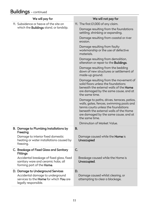### Buildings – continued

| We will pay for                                                                                               | We will not pay for                                                                                                                                                                                                                 |
|---------------------------------------------------------------------------------------------------------------|-------------------------------------------------------------------------------------------------------------------------------------------------------------------------------------------------------------------------------------|
| 11. Subsidence or heave of the site on<br>which the <b>Buildings</b> stand, or landslip.                      | 11. The first £1,000 of any claim.                                                                                                                                                                                                  |
|                                                                                                               | Damage resulting from the foundations<br>settling, shrinking or expanding.                                                                                                                                                          |
|                                                                                                               | Damage resulting from coastal or river<br>erosion.                                                                                                                                                                                  |
|                                                                                                               | Damage resulting from faulty<br>workmanship or the use of defective<br>materials.                                                                                                                                                   |
|                                                                                                               | Damage resulting from demolition,<br>alteration or repair to the <b>Buildings</b> .                                                                                                                                                 |
|                                                                                                               | Damage resulting from the bedding<br>down of new structures or settlement of<br>made-up ground.                                                                                                                                     |
|                                                                                                               | Damage resulting from the movement of<br>solid floors unless the foundations<br>beneath the external walls of the <b>Home</b><br>are damaged by the same cause, and at<br>the same time.                                            |
|                                                                                                               | Damage to paths, drives, terraces, patios,<br>walls, gates, fences, swimming pools and<br>tennis courts unless the foundations<br>beneath the external walls of the Home<br>are damaged by the same cause, and at<br>the same time. |
|                                                                                                               | Diminution of Market Value.                                                                                                                                                                                                         |
| B. Damage to Plumbing Installations by<br>Freezing                                                            | <b>B.</b>                                                                                                                                                                                                                           |
| Damage to interior fixed domestic<br>heating or water installations caused by<br>freezing.                    | Damage caused while the <b>Home</b> is<br>Unoccupied                                                                                                                                                                                |
| C. Breakage of Fixed Glass and Sanitary<br><b>Fittings</b>                                                    | $C_{\cdot}$                                                                                                                                                                                                                         |
| Accidental breakage of fixed glass, fixed<br>sanitary ware and ceramic hobs, all<br>forming part of the Home. | Breakage caused while the Home is<br>Unoccupied.                                                                                                                                                                                    |
| D. Damage to Underground Services                                                                             | D.                                                                                                                                                                                                                                  |
| Accidental damage to underground<br>services to the Home for which You are<br>legally responsible.            | Damage caused whilst clearing, or<br>attempting to clear a blockage.                                                                                                                                                                |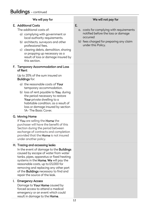|    | We will pay for                                                                                                                                                                                                                                                                                                                                                                                | We will not pay for                                                                                                                                               |
|----|------------------------------------------------------------------------------------------------------------------------------------------------------------------------------------------------------------------------------------------------------------------------------------------------------------------------------------------------------------------------------------------------|-------------------------------------------------------------------------------------------------------------------------------------------------------------------|
|    | E. Additional Costs<br>The additional costs of:<br>a) complying with government or<br>local authority requirements.<br>b) architects, surveyors and other<br>professional fees.<br>c) clearing debris, demolition, shoring<br>or propping up necessary as a<br>result of loss or damage insured by<br>this section.                                                                            | E.<br>a. costs for complying with requirements<br>notified before the loss or damage<br>occurred<br>b) fees charged for preparing any claim<br>under this Policy. |
|    | F. Temporary Accommodation and Loss<br>of Rent<br>Up to 20% of the sum insured on<br><b>Buildings</b> for:<br>a) the reasonable costs of <b>Your</b><br>temporary accommodation.<br>b) loss of rent payable to You. during<br>the period necessary to restore<br>Your private dwelling to a<br>habitable condition, as a result of<br>loss or damage insured by section<br>1A-The Basic Cover. |                                                                                                                                                                   |
|    | G. Moving Home<br>If You are selling the Home the<br>purchaser will have the benefit of this<br>Section during the period between<br>exchange of contracts and completion<br>provided that the Home is not insured<br>under another policy.                                                                                                                                                    |                                                                                                                                                                   |
|    | H. Tracing and accessing leaks<br>In the event of damage to the <b>Buildings</b><br>caused by escape of water from water<br>tanks, pipes, apparatus or fixed heating<br>systems in the <b>Home</b> , We will pay the<br>reasonable costs, up to £5,000 for<br>removing and replacing any other part<br>of the <b>Buildings</b> necessary to find and<br>repair the source of the leak.         |                                                                                                                                                                   |
| I. | <b>Emergency Access</b><br>Damage to <b>Your Home</b> caused by<br>forced access to attend a medical<br>emergency or an event which could<br>result in damage to the <b>Home</b> .                                                                                                                                                                                                             | 12                                                                                                                                                                |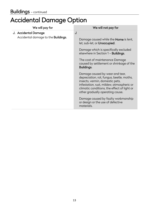# Accidental Damage Option

| We will pay for                                                     | We will not pay for                                                                                                                                                                                                                             |
|---------------------------------------------------------------------|-------------------------------------------------------------------------------------------------------------------------------------------------------------------------------------------------------------------------------------------------|
| J. Accidental Damage<br>Accidental damage to the <b>Buildings</b> . | J<br>Damage caused while the Home is lent,<br>let, sub-let, or Unoccupied.                                                                                                                                                                      |
|                                                                     | Damage which is specifically excluded<br>elsewhere in Section 1 - Buildings.                                                                                                                                                                    |
|                                                                     | The cost of maintenance Damage<br>caused by settlement or shrinkage of the<br>Buildings.                                                                                                                                                        |
|                                                                     | Damage caused by wear and tear,<br>depreciation, rot, fungus, beetle, moths,<br>insects, vermin, domestic pets,<br>infestation, rust, mildew, atmospheric or<br>climatic conditions, the effect of light or<br>other gradually operating cause. |
|                                                                     | Damage caused by faulty workmanship<br>or design or the use of defective<br>materials.                                                                                                                                                          |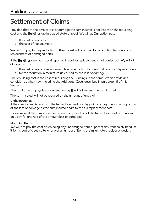## Settlement of Claims

Provided that at the time of loss or damage the sum insured is not less than the rebuilding cost and the Buildings are in a good state of repair We will at Our option pay:

- a) the cost of repair, or
- b) the cost of replacement.

We will not pay for any reduction in the market value of the **Home** resulting from repair or replacement of damaged parts.

If the Buildings are not in good repair or if repair or replacement is not carried out, We will at Our option pay:

- a) the cost of repair or replacement less a deduction for wear and tear and depreciation, or
- b) for the reduction in market value caused by the loss or damage.

The rebuilding cost is the cost of rebuilding the **Buildings** in the same size and style and condition as when new, including the Additional Costs described in paragraph E of this Section.

The total amount payable under Sections A-E will not exceed the sum insured.

The sum insured will not be reduced by the amount of any claim.

#### Underinsurance

If the sum insured is less than the full replacement cost We will only pay the same proportion of the loss or damage as the sum insured bears to the full replacement cost.

For example, if the sum insured represents only one half of the full replacement cost We will only pay for one half of the amount lost or damaged.

#### Matching Items

We will not pay the cost of replacing any undamaged item or part of any item solely because it forms part of a set, suite, or one of a number of items of similar nature, colour or design.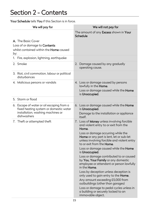### <span id="page-15-0"></span>Section 2 - Contents

Your Schedule tells You if this Section is in force.

| We will pay for                                                                     | We will not pay for                                                                                                          |
|-------------------------------------------------------------------------------------|------------------------------------------------------------------------------------------------------------------------------|
|                                                                                     | The amount of any Excess shown in Your<br>Schedule                                                                           |
| A. The Basic Cover                                                                  |                                                                                                                              |
| Loss of or damage to <b>Contents</b>                                                |                                                                                                                              |
| whilst contained within the Home caused<br>by:                                      |                                                                                                                              |
| Fire, explosion, lightning, earthquake<br>1.                                        |                                                                                                                              |
| 2. Smoke                                                                            | 2. Damage caused by any gradually<br>operating cause.                                                                        |
| 3. Riot, civil commotion, labour or political<br>disturbances                       |                                                                                                                              |
| 4. Malicious persons or vandals                                                     | 4. Loss or damage caused by persons<br>lawfully in the Home.                                                                 |
|                                                                                     | Loss or damage caused while the Home<br>is Unoccupied.                                                                       |
| 5. Storm or flood                                                                   |                                                                                                                              |
| 6. Escape of water or oil escaping from a<br>fixed heating system or domestic water | 6. Loss or damage caused while the Home<br>is Unoccupied.                                                                    |
| installation, washing machines or<br>dishwashers                                    | Damage to the installation or appliance<br>itself.                                                                           |
| 7. Theft or attempted theft                                                         | 7. Loss of Money unless involving forcible<br>and violent entry to or exit from the<br>Home.                                 |
|                                                                                     | Loss or damage occurring while the                                                                                           |
|                                                                                     | Home or any part is lent, let or sub-let<br>unless involving forcible and violent entry<br>to or exit from the <b>Home</b> . |
|                                                                                     | Loss or damage caused while the Home<br>is Unoccupied.                                                                       |
|                                                                                     | Loss or damage contributed to or caused                                                                                      |
|                                                                                     | by You, Your Family or any domestic<br>employee or attendant or person lawfully<br>in the <b>Home</b> .                      |
|                                                                                     | Loss by deception unless deception is<br>only used to gain entry to the <b>Home</b> .                                        |
|                                                                                     | Any amount exceeding £5,000 from<br>outbuildings (other than garages)                                                        |
|                                                                                     | Loss or damage to pedal cycles unless in<br>a building or securely locked to an<br>immovable object.                         |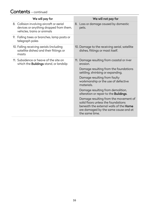### Contents – continued

| We will pay for                                                                                                    | We will not pay for                                                                                                                                                              |
|--------------------------------------------------------------------------------------------------------------------|----------------------------------------------------------------------------------------------------------------------------------------------------------------------------------|
| 8. Collision involving aircraft or aerial<br>devices or anything dropped from them,<br>vehicles, trains or animals | 8. Loss or damage caused by domestic<br>pets.                                                                                                                                    |
| 9. Falling trees or branches, lamp posts or<br>telegraph poles                                                     |                                                                                                                                                                                  |
| 10. Falling receiving aerials (including<br>satellite dishes) and their fittings or<br>masts                       | 10. Damage to the receiving aerial, satellite<br>dishes, fittings or mast itself.                                                                                                |
| 11. Subsidence or heave of the site on<br>which the <b>Buildings</b> stand, or landslip                            | 11. Damage resulting from coastal or river<br>erosion.                                                                                                                           |
|                                                                                                                    | Damage resulting from the foundations<br>settling, shrinking or expanding.                                                                                                       |
|                                                                                                                    | Damage resulting from faulty<br>workmanship or the use of defective<br>materials.                                                                                                |
|                                                                                                                    | Damage resulting from demolition,<br>alteration or repair to the <b>Buildings</b> .                                                                                              |
|                                                                                                                    | Damage resulting from the movement of<br>solid floors unless the foundations<br>beneath the external walls of the Home<br>are damaged by the same cause and at<br>the same time. |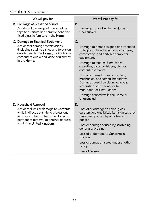### Contents – continued

| We will pay for                                                                                                                                                                                                                 | We will not pay for                                                                                                                                                                                                                                                                                                                                                                                                                                                                |
|---------------------------------------------------------------------------------------------------------------------------------------------------------------------------------------------------------------------------------|------------------------------------------------------------------------------------------------------------------------------------------------------------------------------------------------------------------------------------------------------------------------------------------------------------------------------------------------------------------------------------------------------------------------------------------------------------------------------------|
| <b>B.</b> Breakage of Glass and Mirrors<br>Accidental breakage of mirrors, glass<br>tops to furniture and ceramic hobs and<br>fixed glass in furniture in the Home.                                                             | B.<br>Breakage caused while the Home is<br>Unoccupied.                                                                                                                                                                                                                                                                                                                                                                                                                             |
| C. Damage to Electrical Equipment<br>Accidental damage to televisions,<br>(including satellite dishes and television<br>aerials fixed to the Home), radios, home<br>computers, audio and video equipment<br>in the Home.        | C.<br>Damage to items designed and intended<br>to be portable including video cameras,<br>camcorders, and portable computer<br>equipment.<br>Damage to records, films, tapes,<br>cassettes, discs, cartridges, styli, or<br>computer software.<br>Damage caused by wear and tear,<br>mechanical or electrical breakdown.<br>Damage caused by cleaning, repair,<br>restoration or use contrary to<br>manufacturer's instructions.<br>Damage caused while the Home is<br>Unoccupied. |
| D. Household Removal<br>Accidental loss or damage to Contents<br>while in direct transit by a professional<br>removal contractor from the <b>Home</b> for<br>permanent removal to another address<br>within the United Kingdom. | D.<br>Loss of or damage to china, glass,<br>earthenware and brittle items unless they<br>have been packed by a professional<br>packer.<br>Loss or damage caused by scratching,<br>denting or bruising.<br>Loss of or damage to <b>Contents</b> in<br>storage.<br>Loss or damage insured under another<br>Policy.<br>Loss of Money                                                                                                                                                  |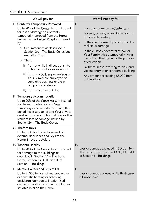### Contents – continued

| We will pay for                                                                                                                                                                                                                                                                                                                                                                                                                                                                                                                                                       | We will not pay for                                                                                                                                                                                                                                                                                                                                                                                                                                                                                                                                   |
|-----------------------------------------------------------------------------------------------------------------------------------------------------------------------------------------------------------------------------------------------------------------------------------------------------------------------------------------------------------------------------------------------------------------------------------------------------------------------------------------------------------------------------------------------------------------------|-------------------------------------------------------------------------------------------------------------------------------------------------------------------------------------------------------------------------------------------------------------------------------------------------------------------------------------------------------------------------------------------------------------------------------------------------------------------------------------------------------------------------------------------------------|
| E. Contents Temporarily Removed<br>Up to 20% of the <b>Contents</b> sum insured<br>for loss or damage to Contents<br>temporarily removed from the Home<br>but within the United Kingdom caused<br>by: -<br>a) Circumstances as described in<br>Section 2A - The Basic Cover, but<br>excluding Theft.<br>b) Theft<br>from or while in direct transit to<br>i)<br>or from a bank or safe deposit.<br>ii) from any <b>Building</b> where You or<br>Your Family are employed or<br>carry on a business or are in<br>temporary residence.<br>iii) from any other building. | E.<br>Loss of or damage to <b>Contents</b> :-<br>For sale, or away on exhibition or in a<br>$\overline{\phantom{0}}$<br>furniture depository.<br>In the open caused by storm, flood or<br>$\overline{\phantom{a}}$<br>malicious damage.<br>In the custody or control of You or<br>$\overline{\phantom{0}}$<br>Your Family whilst temporarily living<br>away from the Home for the purpose<br>of education.<br>By theft unless involving forcible and<br>violent entry to or exit from a building<br>Any amount exceeding £5,000 from<br>outbuildings. |
| F. Temporary Accommodation<br>Up to 20% of the <b>Contents</b> sum insured<br>for the reasonable costs of Your<br>temporary accommodation during the<br>period necessary to restore Your private<br>dwelling to a habitable condition, as the<br>result of loss or damage insured by<br>Section 2A - The Basic Cover.                                                                                                                                                                                                                                                 |                                                                                                                                                                                                                                                                                                                                                                                                                                                                                                                                                       |
| G. Theft of Keys<br>Up to £500 for the replacement of<br>external door locks and keys to the<br>Home if keys are stolen.                                                                                                                                                                                                                                                                                                                                                                                                                                              |                                                                                                                                                                                                                                                                                                                                                                                                                                                                                                                                                       |
| H. Tenants Liability<br>Up to 20% of the <b>Contents</b> sum insured<br>for damage to the <b>Buildings</b> as<br>described in Section 1A - The Basic<br>Cover, Section 1B, 1C 1D and 1E of<br>Section 1 - Buildings.                                                                                                                                                                                                                                                                                                                                                  | Н.<br>Loss or damage excluded in Section 1A -<br>The Basic Cover, Section 1B, 1C, 1D and 1E<br>of Section 1 - Buildings.                                                                                                                                                                                                                                                                                                                                                                                                                              |
| Metered Water and Loss of Oil<br>Up to £1,000 for loss of metered water<br>or domestic heating oil following<br>accidental damage to interior fixed<br>domestic heating or water installations<br>situated in or on the Home.                                                                                                                                                                                                                                                                                                                                         | $\mathsf{l}$ .<br>Loss or damage caused while the <b>Home</b><br>is Unoccupied.                                                                                                                                                                                                                                                                                                                                                                                                                                                                       |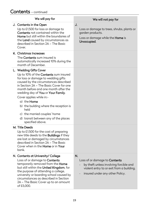| We will pay for                                                                                                                                                                                                                                                                                                                                                                                                                                                          | We will not pay for                                                                                                                                                  |
|--------------------------------------------------------------------------------------------------------------------------------------------------------------------------------------------------------------------------------------------------------------------------------------------------------------------------------------------------------------------------------------------------------------------------------------------------------------------------|----------------------------------------------------------------------------------------------------------------------------------------------------------------------|
| J. Contents in the Open<br>Up to £1,500 for loss or damage to<br>Contents not contained within the<br>Home but still within the boundaries of<br>the Land caused by circumstances as<br>described in Section 2A - The Basic<br>Cover.                                                                                                                                                                                                                                    | J.<br>Loss or damage to trees, shrubs, plants or<br>garden products.<br>Loss or damage while the <b>Home</b> is<br>Unoccupied.                                       |
| K. Christmas Increases<br>The <b>Contents</b> sum insured is<br>automatically increased 10% during the<br>month of December.                                                                                                                                                                                                                                                                                                                                             |                                                                                                                                                                      |
| L. Wedding Gifts Cover<br>Up to 10% of the <b>Contents</b> sum insured<br>for loss or damage to wedding gifts<br>caused by the circumstances described<br>in Section 2A - The Basic Cover for one<br>month before and one month after the<br>wedding day of You or Your Family.<br>Cover applies while in:-<br>a) the Home<br>b) the building where the reception is<br>held<br>c) the married couples' home<br>d) transit between any of the places<br>specified above. |                                                                                                                                                                      |
| M. Title Deeds<br>Up to £1,500 for the cost of preparing<br>new title deeds to the <b>Buildings</b> if they<br>are lost or damaged by circumstances<br>described in Section 2A - The Basic<br>Cover when in the Home or in Your<br>bank.                                                                                                                                                                                                                                 |                                                                                                                                                                      |
| N. Contents at University/College<br>Loss of or damage to <b>Contents</b><br>temporarily removed from the Home<br>but still within the United Kingdom, for<br>the purpose of attending a college,<br>university or boarding school caused by<br>circumstances as described in Section<br>2A – The Basic Cover up to an amount<br>of £5,000.                                                                                                                              | N.<br>Loss of or damage to <b>Contents</b><br>by theft unless involving forcible and<br>violent entry to or exit from a building.<br>insured under any other Policy. |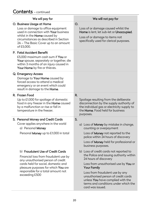| We will pay for                                                                                                                                                                                                                                                                                                                                                                                 | We will not pay for                                                                                                                                                                                                                                                                                                                                                                                                                 |
|-------------------------------------------------------------------------------------------------------------------------------------------------------------------------------------------------------------------------------------------------------------------------------------------------------------------------------------------------------------------------------------------------|-------------------------------------------------------------------------------------------------------------------------------------------------------------------------------------------------------------------------------------------------------------------------------------------------------------------------------------------------------------------------------------------------------------------------------------|
| O. Business Usage at Home<br>Loss or damage to office equipment<br>used in connection with Your business<br>whilst in the <b>Home</b> caused by<br>circumstances as described in Section<br>2A – The Basic Cover up to an amount<br>of £5,000.                                                                                                                                                  | O.<br>Loss of or damage caused whilst the<br>Home is lent, let sub-let or Unoccupied.<br>Loss of or damage to items not<br>specifically used for clerical purposes.                                                                                                                                                                                                                                                                 |
| P. Fatal Accident Benefit<br>£5,000 maximum cash sum if You or<br>Your spouse, separately or together, die<br>within 3 months of an injury caused in<br>Your Home by fire or thieves.                                                                                                                                                                                                           |                                                                                                                                                                                                                                                                                                                                                                                                                                     |
| Q. Emergency Access<br>Damage to Your Home caused by<br>forced access to attend a medical<br>emergency or an event which could<br>result in damage to the Home.                                                                                                                                                                                                                                 |                                                                                                                                                                                                                                                                                                                                                                                                                                     |
| R. Frozen Food<br>Up to £1,000 for spoilage of domestic<br>food in any freezer in the Home caused<br>by a malfunction or rise or fall in<br>temperature in the freezer.                                                                                                                                                                                                                         | R.<br>Spoilage resulting from the deliberate<br>disconnection by the supply authority of<br>the individual gas or electricity supply to<br>the Home. Food held for business<br>purposes.                                                                                                                                                                                                                                            |
| S. Personal Money and Credit Cards<br>Cover applies anywhere in the world<br>a) Personal Money<br>Personal Money up to £1,000 in total<br>b) Fraudulent Use of Credit Cards<br>Financial loss from fraudulent use by<br>any unauthorised person of credit<br>cards held for social, domestic and<br>pleasure purposes for which You are<br>responsible for a total amount not<br>exceeding £500 | S.<br>a) Loss of Money by mistake in change,<br>counting or overpayment<br>Loss of Money not reported to the<br>police within 24 hours of discovery<br>Loss of Money held for professional or<br>business purposes.<br>b) Loss of credit cards not reported to<br>the Police and issuing authority within<br>24 hours of discovery<br>Loss from unauthorised use by You or<br><b>Your Family</b><br>Loss from fraudulent use by any |
|                                                                                                                                                                                                                                                                                                                                                                                                 | unauthorised person of credit cards<br>unless You have complied with the<br>terms and conditions under which the<br>card was issued.                                                                                                                                                                                                                                                                                                |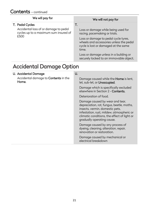| We will pay for                                                                                           | We will not pay for                                                                                                                                                                                                                                      |
|-----------------------------------------------------------------------------------------------------------|----------------------------------------------------------------------------------------------------------------------------------------------------------------------------------------------------------------------------------------------------------|
| T. Pedal Cycles<br>Accidental loss of or damage to pedal<br>cycles up to a maximum sum insured of<br>£500 | T.<br>Loss or damage while being used for<br>racing, pacemaking or trials.<br>Loss or damage to pedal cycle tyres,<br>wheels and accessories unless the pedal<br>cycle is lost or damaged at the same<br>time.<br>Loss or damage unless in a building or |
|                                                                                                           | securely locked to an immovable object.                                                                                                                                                                                                                  |

### Accidental Damage Option

| U. Accidental Damage                                 | U.                                                                                                                                                                                                                                        |
|------------------------------------------------------|-------------------------------------------------------------------------------------------------------------------------------------------------------------------------------------------------------------------------------------------|
| Accidental damage to <b>Contents</b> in the<br>Home. | Damage caused while the <b>Home</b> is lent,<br>let, sub-let, or Unoccupied.                                                                                                                                                              |
|                                                      | Damage which is specifically excluded<br>elsewhere in Section 2 - Contents.                                                                                                                                                               |
|                                                      | Deterioration of food.                                                                                                                                                                                                                    |
|                                                      | Damage caused by wear and tear,<br>depreciation, rot, fungus, beetle, moths,<br>insects, vermin, domestic pets,<br>infestation, rust, mildew, atmospheric or<br>climatic conditions, the effect of light or<br>gradually operating cause. |
|                                                      | Damage caused by any process of<br>dyeing, cleaning, alteration, repair,<br>renovation or restoration.                                                                                                                                    |
|                                                      | Damage caused by mechanical or<br>electrical breakdown                                                                                                                                                                                    |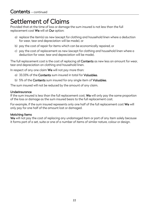# Settlement of Claims<br>Provided that at the time of loss or damage the sum insured is not less than the full

replacement cost We will at Our option:

- a) replace the item(s) as new (except for clothing and household linen where a deduction for wear, tear and depreciation will be made), or
- b) pay the cost of repair for items which can be economically repaired, or
- c) pay the cost of replacement as new (except for clothing and household linen where a deduction for wear, tear and depreciation will be made).

The full replacement cost is the cost of replacing all **Contents** as new less an amount for wear, tear and depreciation on clothing and household linen.

In respect of any one claim We will not pay more than:

- a) 33.33% of the Contents sum insured in total for Valuables.
- b) 5% of the Contents sum insured for any single item of Valuables.

The sum insured will not be reduced by the amount of any claim.

#### Underinsurance

If the sum insured is less than the full replacement cost, We will only pay the same proportion of the loss or damage as the sum insured bears to the full replacement cost.

For example, if the sum insured represents only one half of the full replacement cost We will only pay for one half of the amount lost or damaged.

#### Matching Items

We will not pay the cost of replacing any undamaged item or part of any item solely because it forms part of a set, suite or one of a number of items of similar nature, colour or design.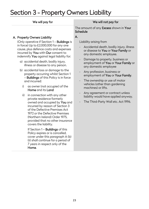## <span id="page-23-0"></span>Section 3 - Property Owners Liability

| We will pay for                                                                                                                                                                                                                                                                                                                                                                                                                                                                                                                                                                                                                                                                                                                                                                                                                                                                                                                                                                                                                                       | We will not pay for                                                                                                                                                                                                                                                                                                                                                                                                                                                                                                           |
|-------------------------------------------------------------------------------------------------------------------------------------------------------------------------------------------------------------------------------------------------------------------------------------------------------------------------------------------------------------------------------------------------------------------------------------------------------------------------------------------------------------------------------------------------------------------------------------------------------------------------------------------------------------------------------------------------------------------------------------------------------------------------------------------------------------------------------------------------------------------------------------------------------------------------------------------------------------------------------------------------------------------------------------------------------|-------------------------------------------------------------------------------------------------------------------------------------------------------------------------------------------------------------------------------------------------------------------------------------------------------------------------------------------------------------------------------------------------------------------------------------------------------------------------------------------------------------------------------|
|                                                                                                                                                                                                                                                                                                                                                                                                                                                                                                                                                                                                                                                                                                                                                                                                                                                                                                                                                                                                                                                       | The amount of any Excess shown in Your<br>Schedule                                                                                                                                                                                                                                                                                                                                                                                                                                                                            |
| A. Property Owners Liability<br>(Only operative if Section 1 - Buildings is<br>in force) Up to £2,000,000 for any one<br>cause, plus defence costs and expenses<br>incurred by You with Our consent to<br>indemnify You against legal liability for:<br>a) accidental death, bodily injury,<br>illness or disease to any person.<br>b) accidental loss or damage to the<br>property occurring whilst Section 1<br>- Buildings of this Policy is in force<br>and incurred:<br>i)<br>as owner (not occupier) of the<br>Home and its Land<br>in connection with any other<br>ii)<br>private residence formerly<br>owned and occupied by You and<br>incurred by reason of Section 3<br>of the Defective Premises Act<br>1972 or the Defective Premises<br>(Northern Ireland) Order 1975,<br>provided that no other insurance<br>covers the liability.<br>If Section 1 – <b>Buildings</b> of this<br>Policy expires or is cancelled,<br>cover under this paragraph A (b)<br>(ii) shall continue for a period of<br>7 years in respect only of the<br>Home. | A.<br>Liability arising from<br>Accidental death, bodily injury, illness<br>or disease to You or Your Family or<br>any domestic employee.<br>Damage to property, business or<br>employment of You or Your Family or<br>any domestic employee<br>Any profession, business or<br>employment of You or Your Family.<br>The ownership or use of motor<br>vehicles (other than gardening<br>machines) or lifts.<br>Any agreement or contract unless<br>liability would have applied anyway.<br>The Third-Party Wall etc. Act 1996. |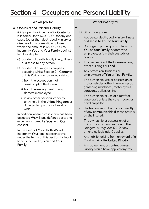# <span id="page-24-0"></span>Section 4 - Occupiers and Personal Liability

| А.<br>A. Occupiers and Personal Liability<br>(Only operative if Section 2 - Contents<br>Liability arising from<br>is in force) Up to £2,000,000 for any one<br>Accidental death, bodily injury, illness<br>cause (other than death, bodily injury or<br>or disease to You or Your Family.<br>disease of any domestic employee<br>Damage to property which belongs to<br>where the amount is £5,000,000) to<br>-<br>You or Your Family, or domestic<br>indemnify You and Your Family against<br>employee, or is in their custody or<br>legal liability for:<br>control.<br>a) accidental death, bodily injury, illness<br>The ownership of the <b>Home</b> and any<br>$\qquad \qquad -$<br>or disease to any person.<br>other buildings or Land.<br>b) accidental damage to property<br>Any profession, business or<br>occurring whilst Section 2 - Contents<br>$\overline{\phantom{0}}$<br>employment of You or Your Family.<br>of this Policy is in force and arising:<br>The ownership, use or possession of<br>$\overline{\phantom{0}}$<br>i) from the occupation (not<br>motor vehicles (other than domestic<br>ownership) of the Home.<br>gardening machines), motor cycles,<br>ii) from the employment of any<br>caravans, trailers or lifts.<br>domestic employee.<br>The ownership or use of aircraft or<br>$\overline{\phantom{0}}$<br>iii) in any other personal capacity<br>watercraft unless they are models or<br>anywhere in the United Kingdom or<br>hand propelled.<br>during a temporary visit world-<br>the transmission directly or indirectly<br>÷,<br>wide.<br>of any communicable disease or virus<br>In addition where a valid claim has been<br>by the insured.<br>accepted We will pay defence costs and<br>The ownership or possession of an<br>$\qquad \qquad -$<br>expenses incurred by Your with Our<br>animal to which any section of the<br>consent.<br>Dangerous Dogs Act 1991 (or any<br>In the event of Your death We will<br>amending legislation) applies.<br>indemnify Your legal representative<br>under the terms of this Section for legal<br>-<br>Court outside the United Kingdom.<br>liability incurred by You and Your<br>Family.<br>Any agreement or contract unless | We will pay for | We will not pay for                                                              |  |
|-------------------------------------------------------------------------------------------------------------------------------------------------------------------------------------------------------------------------------------------------------------------------------------------------------------------------------------------------------------------------------------------------------------------------------------------------------------------------------------------------------------------------------------------------------------------------------------------------------------------------------------------------------------------------------------------------------------------------------------------------------------------------------------------------------------------------------------------------------------------------------------------------------------------------------------------------------------------------------------------------------------------------------------------------------------------------------------------------------------------------------------------------------------------------------------------------------------------------------------------------------------------------------------------------------------------------------------------------------------------------------------------------------------------------------------------------------------------------------------------------------------------------------------------------------------------------------------------------------------------------------------------------------------------------------------------------------------------------------------------------------------------------------------------------------------------------------------------------------------------------------------------------------------------------------------------------------------------------------------------------------------------------------------------------------------------------------------------------------------------------------------------------------------------------------------------------------------------|-----------------|----------------------------------------------------------------------------------|--|
|                                                                                                                                                                                                                                                                                                                                                                                                                                                                                                                                                                                                                                                                                                                                                                                                                                                                                                                                                                                                                                                                                                                                                                                                                                                                                                                                                                                                                                                                                                                                                                                                                                                                                                                                                                                                                                                                                                                                                                                                                                                                                                                                                                                                                   |                 | Any liability arising from an award of a<br>liability would have applied anyway. |  |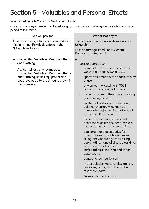## <span id="page-25-0"></span>Section 5 - Valuables and Personal Effects

#### Your Schedule tells You if this Section is in force.

Cover applies anywhere in the United Kingdom and for up to 60 days worldwide in any one period of insurance.

| We will pay for                                                                                                                                                                                                                                  | We will not pay for                                                                                                                                                                                                                                                                                                                                                                                                                                                                                                                                                                                                                                                                                                                                                                                                                                                                                                                                                           |
|--------------------------------------------------------------------------------------------------------------------------------------------------------------------------------------------------------------------------------------------------|-------------------------------------------------------------------------------------------------------------------------------------------------------------------------------------------------------------------------------------------------------------------------------------------------------------------------------------------------------------------------------------------------------------------------------------------------------------------------------------------------------------------------------------------------------------------------------------------------------------------------------------------------------------------------------------------------------------------------------------------------------------------------------------------------------------------------------------------------------------------------------------------------------------------------------------------------------------------------------|
| Loss of or damage to property owned by<br>You and Your Family described in the<br>Schedule as follows:                                                                                                                                           | The amount of any <b>Excess</b> shown in <b>Your</b><br>Schedule.                                                                                                                                                                                                                                                                                                                                                                                                                                                                                                                                                                                                                                                                                                                                                                                                                                                                                                             |
|                                                                                                                                                                                                                                                  | Loss or damage listed under General<br>Exclusions to Section 5.                                                                                                                                                                                                                                                                                                                                                                                                                                                                                                                                                                                                                                                                                                                                                                                                                                                                                                               |
| A. Unspecified Valuables, Personal Effects<br>and Clothing<br>Accidental loss of or damage to<br><b>Unspecified Valuables, Personal Effects</b><br>and Clothing, sports equipment and<br>pedal cycles up to the amount shown in<br>the Schedule. | А.<br>Loss or damage to:<br>compact discs, cassettes, or records<br>worth more than £100 in total.<br>sports equipment in the course of play<br>or use.<br>any amount exceeding £1,000 in<br>respect of any one pedal cycle<br>to pedal cycles in the course of racing,<br>pacemaking or trials.<br>by theft of pedal cycles unless in a<br>$\overline{\phantom{a}}$<br>building or securely locked to an<br>immovable object while unattended<br>away from the Home.<br>to pedal cycle tyres, wheels and<br>$\overline{\phantom{a}}$<br>accessories unless the pedal cycle is<br>lost or damaged at the same time.<br>equipment and accessories for<br>mountaineering, pot holing, snow<br>skiing, snowboarding, water skiing,<br>parachuting, hang gliding, paragliding,<br>windsurfing, sailboarding,<br>surfboarding, skindiving and other<br>watersports.<br>contact or corneal lenses.<br>motor vehicles, motorcycles, trailers,<br>caravans, boats, aircraft and their |
|                                                                                                                                                                                                                                                  | respective parts.<br>Money and credit cards.                                                                                                                                                                                                                                                                                                                                                                                                                                                                                                                                                                                                                                                                                                                                                                                                                                                                                                                                  |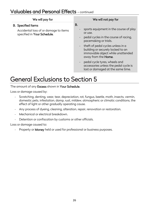### Valuables and Personal Effects – continued

| We will pay for                                                                                   | We will not pay for                                                                                                                                                                                                                                                                |
|---------------------------------------------------------------------------------------------------|------------------------------------------------------------------------------------------------------------------------------------------------------------------------------------------------------------------------------------------------------------------------------------|
| <b>B.</b> Specified Items<br>Accidental loss of or damage to items<br>specified in Your Schedule. | <b>B.</b><br>sports equipment in the course of play<br>or use.<br>- pedal cycles in the course of racing,<br>pacemaking or trials.<br>- theft of pedal cycles unless in a<br>building or securely locked to an<br>immovable object while unattended<br>away from the <b>Home</b> . |
|                                                                                                   | - pedal cycle tyres, wheels and<br>accessories unless the pedal cycle is<br>lost or damaged at the same time.                                                                                                                                                                      |

### General Exclusions to Section 5

#### The amount of any Excess shown in Your Schedule.

Loss or damage caused by:

- Scratching, denting, wear, tear, depreciation, rot, fungus, beetle, moth, insects, vermin, domestic pets, infestation, damp, rust, mildew, atmospheric or climatic conditions, the effect of light or other gradually operating cause.
- Any process of dyeing, cleaning, alteration, repair, renovation or restoration.
- Mechanical or electrical breakdown.
- Detention or confiscation by customs or other officials.

Loss or damage caused to:

- Property or Money held or used for professional or business purposes.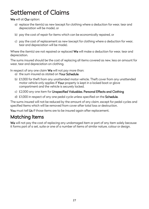# Settlement of Claims<br>We will at Our option:

- a) replace the item(s) as new (except for clothing where a deduction for wear, tear and depreciation will be made), or
- b) pay the cost of repair for items which can be economically repaired, or
- c) pay the cost of replacement as new (except for clothing where a deduction for wear, tear and depreciation will be made).

Where the item(s) are not repaired or replaced We will make a deduction for wear, tear and depreciation.

The sums insured should be the cost of replacing all items covered as new, less an amount for wear, tear and depreciation on clothing.

In respect of any one claim We will not pay more than:

- a) the sum insured as stated on Your Schedule
- b) £1,000 for theft from any unattended motor vehicle. Theft cover from any unattended motor vehicle only applies if Your property is kept in a locked boot or glove compartment and the vehicle is securely locked.
- c) £2,000 any one item for Unspecified Valuables, Personal Effects and Clothing
- d) £1,000 in respect of any one pedal cycle unless specified on the Schedule.

The sums insured will not be reduced by the amount of any claim, except for pedal cycles and specified Items which will be removed from cover after total loss or destruction.

You must tell Us if those items are to be insured again after replacement.

### Matching Items

We will not pay the cost of replacing any undamaged item or part of any item solely because it forms part of a set, suite or one of a number of items of similar nature, colour or design.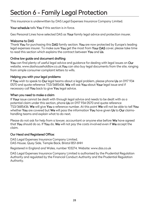## <span id="page-28-0"></span>Section 6 - Family Legal Protection

This insurance is underwritten by DAS Legal Expenses Insurance Company Limited.

Your schedule tells You if this section is in force.

Geo Personal Lines have selected DAS as Your family legal advice and protection insurer.

#### Welcome to DAS

Thank You for purchasing this DAS family section. You are now protected by Europe's leading legal expenses insurer. To make sure You get the most from Your DAS cover, please take time to read this section which explains the contract between You and Us.

#### Online law guide and document drafting

You can find plenty of useful legal advice and guidance for dealing with legal issues on Our website, www.dashouseholdlaw.co.uk.You can also buy legal documents from the site, ranging from simple consumer complaint letters to wills.

#### Helping you with your legal problems

If You wish to speak to Our legal teams about a legal problem, please phone Us on 0117 934 0570 and quote reference TS3/3685436. We will ask You about Your legal issue and if necessary call You back to give You legal advice.

#### When you need to make a claim

If Your issue cannot be dealt with through legal advice and needs to be dealt with as a potential claim under this section, phone Us on 0117 934 0570 and quote reference TS3/3685436. We will give You a reference number. At this point We will not be able to tell You whether You are covered but We will pass the information You have given Us to Our claimshandling teams and explain what to do next.

Please do not ask for help from a lawyer, accountant or anyone else before We have agreed that You should do so. If You do, We will not pay the costs involved even if We accept the claim.

#### Our Head and Registered Office:

DAS Legal Expenses Insurance Company Limited, DAS House, Quay Side, Temple Back, Bristol BS1 6NH

Registered in England and Wales, number 103274. Website: www.das.co.uk

DAS Legal Expenses Insurance Company Limited is authorised by the Prudential Regulation Authority and regulated by the Financial Conduct Authority and the Prudential Regulation Authority.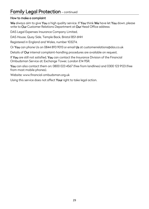### Family Legal Protection - continued

### How to make a complaint

We always aim to give You a high quality service. If You think We have let You down, please write to Our Customer Relations Department at Our Head Office address:

DAS Legal Expenses Insurance Company Limited,

DAS House, Quay Side, Temple Back, Bristol BS1 6NH

Registered in England and Wales, number 103274.

Or You can phone Us on 0844 893 9013 or email Us at [customerrelations@das.co.uk](mailto:customerrelations@das.co.uk)

Details of Our internal complaint-handling procedures are available on request.

If You are still not satisfied, You can contact the Insurance Division of the Financial Ombudsman Service at: Exchange Tower, London E14 9SR.

You can also contact them on: 0800 023 4567 (free from landlines) and 0300 123 9123 (free from most mobile phones).

Website: www.financial-ombudsman.org.uk

Using this service does not affect Your right to take legal action.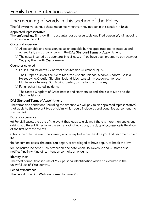### The meaning of words in this section of the Policy

The following words have these meanings wherever they appear in this section in bold:

#### Appointed representative

The preferred law firm, law firm, accountant or other suitably qualified person We will appoint to act on Your behalf.

#### Costs and expenses

- (a) All reasonable and necessary costs chargeable by the appointed representative and agreed by Us in accordance with the DAS Standard Terms of Appointment.
- (b) The costs incurred by opponents in civil cases if You have been ordered to pay them, or You pay them with Our agreement.

#### Countries covered

(a) For insured incidents 2 Contract disputes and 3 Personal injury.

The European Union, the Isle of Man, the Channel Islands, Albania, Andorra, Bosnia Herzegovina, Croatia, Gibraltar, Iceland, Liechtenstein, Macedonia, Monaco, Montenegro, Norway, San Marino, Serbia, Switzerland and Turkey.

(b) For all other insured incidents:

The United Kingdom of Great Britain and Northern Ireland, the Isle of Man and the Channel Islands.

#### DAS Standard Terms of Appointment

The terms and conditions (including the amount We will pay to an appointed representative) that apply to the relevant type of claim, which could include a conditional fee agreement (no win, no fee).

#### Date of occurrence

(a) For civil cases, the date of the event that leads to a claim. If there is more than one event arising at different times from the same originating cause, the **date of occurrence** is the date of the first of these events.

(This is the date the event happened, which may be before the date you first became aware of it.)

(b) For criminal cases, the date You began, or are alleged to have begun, to break the law.

(c) For insured incident 6 Tax protection, the date when HM Revenue and Customs first notifies You in writing of its intention to make an enquiry.

#### Identity theft

The theft or unauthorised use of Your personal identification which has resulted in the unlawful use of Your identity.

#### Period of insurance

The period for which We have agreed to cover You.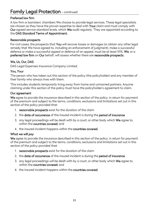### Family Legal Protection – continued

#### Preferred law firm

A law firm or barristers' chambers We choose to provide legal services. These legal specialists are chosen as they have the proven expertise to deal with Your claim and must comply with Our agreed service standard levels, which We audit regularly. They are appointed according to the DAS Standard Terms of Appointment.

#### Reasonable prospects

For civil cases, the prospects that You will recover losses or damages (or obtain any other legal remedy that We have agreed to, including an enforcement of judgment), make a successful defence or make a successful appeal or defence of an appeal, must be at least 51%. We, or a preferred law firm on Our behalf, will assess whether there are reasonable prospects.

#### We, Us, Our, DAS

DAS Legal Expenses Insurance Company Limited.

#### You, Your

The person who has taken out this section of the policy (the policyholder) and any member of their family who always lives with them.

This includes students temporarily living away from home and unmarried partners. Anyone claiming under this section of the policy must have the policyholder's agreement to claim.

#### Our agreement

We agree to provide the insurance described in this section of the policy, in return for payment of the premium and subject to the terms, conditions, exclusions and limitations set out in this section of the policy provided that:

- 1. reasonable prospects exist for the duration of the claim
- 2. the date of occurrence of the insured incident is during the period of insurance
- 3. any legal proceedings will be dealt with by a court, or other body which We agree to, within the countries covered, and
- 4. the insured incident happens within the countries covered.

#### What we will pay

We agree to provide the insurance described in this section of the policy, in return for payment of the premium and subject to the terms, conditions, exclusions and limitations set out in this section of the policy provided that:

- 1. reasonable prospects exist for the duration of the claim
- 2. the date of occurrence of the insured incident is during the period of insurance
- 3. any legal proceedings will be dealt with by a court, or other body which We agree to, within the countries covered, and
- 4. the insured incident happens within the countries covered.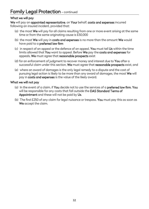#### What we will pay

We will pay an appointed representative, on Your behalf, costs and expenses incurred following an insured incident, provided that:

- (a) the most We will pay for all claims resulting from one or more event arising at the same time or from the same originating cause is £50,000
- (b) the most We will pay in costs and expenses is no more than the amount We would have paid to a preferred law firm
- (c) in respect of an appeal or the defence of an appeal, You must tell Us within the time limits allowed that You want to appeal. Before We pay the costs and expenses for appeals, We must agree that reasonable prospects exist
- (d) for an enforcement of judgment to recover money and interest due to You after a successful claim under this section, We must agree that reasonable prospects exist, and
- (e) where an award of damages is the only legal remedy to a dispute and the cost of pursuing legal action is likely to be more than any award of damages, the most We will pay in costs and expenses is the value of the likely award.

#### What we will not pay

- (a) In the event of a claim, if You decide not to use the services of a preferred law firm, You will be responsible for any costs that fall outside the DAS Standard Terms of Appointment and these will not be paid by Us.
- (b) The first  $£250$  of any claim for legal nuisance or trespass. You must pay this as soon as We accept the claim.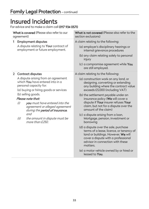# Insured Incidents For advice and to make a claim call 0117 934 0570

| What is covered (Please also refer to our<br>agreement) |                                                                                                                                                                                                    |                                                                                                                                            | What is not covered (Please also refer to the<br>section exclusions)                                                                                                                                            |
|---------------------------------------------------------|----------------------------------------------------------------------------------------------------------------------------------------------------------------------------------------------------|--------------------------------------------------------------------------------------------------------------------------------------------|-----------------------------------------------------------------------------------------------------------------------------------------------------------------------------------------------------------------|
| 1                                                       |                                                                                                                                                                                                    | <b>Employment disputes</b>                                                                                                                 | A claim relating to the following:                                                                                                                                                                              |
|                                                         |                                                                                                                                                                                                    | A dispute relating to Your contract of<br>employment or future employment.                                                                 | (a) employer's disciplinary hearings or<br>internal grievance procedures                                                                                                                                        |
|                                                         |                                                                                                                                                                                                    |                                                                                                                                            | (b) any claim relating solely to personal<br>injury                                                                                                                                                             |
|                                                         |                                                                                                                                                                                                    |                                                                                                                                            | (c) a compromise agreement while You<br>are still employed.                                                                                                                                                     |
| 2 <sup>1</sup>                                          |                                                                                                                                                                                                    | <b>Contract disputes</b>                                                                                                                   | A claim relating to the following:                                                                                                                                                                              |
|                                                         | A dispute arising from an agreement<br>which You have entered into in a<br>personal capacity for:<br>(a) buying or hiring goods or services                                                        |                                                                                                                                            | (a) construction work on any land, or<br>designing, converting or extending<br>any building where the contract value<br>exceeds £5,000 (including VAT)                                                          |
|                                                         |                                                                                                                                                                                                    | (b) selling goods.                                                                                                                         | (b) the settlement payable under an                                                                                                                                                                             |
|                                                         | Please note that:<br>(i)<br>you must have entered into the<br>agreement or alleged agreement<br>during the period of insurance,<br>and<br>(ii)<br>the amount in dispute must be<br>more than £250. | insurance policy (We will cover a<br>dispute if Your insurer refuses Your<br>claim, but not for a dispute over the<br>amount of the claim) |                                                                                                                                                                                                                 |
|                                                         |                                                                                                                                                                                                    | (c) a dispute arising from a loan,<br>Mortgage, pension, investment or<br>borrowing                                                        |                                                                                                                                                                                                                 |
|                                                         |                                                                                                                                                                                                    |                                                                                                                                            | (d) a dispute over the sale, purchase<br>terms of a lease, licence, or tenancy of<br>land or buildings. However, We will<br>cover a dispute with a professional<br>advisor in connection with these<br>matters. |
|                                                         |                                                                                                                                                                                                    |                                                                                                                                            | (e) a motor vehicle owned by or hired or<br>leased to You.                                                                                                                                                      |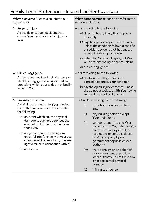### Family Legal Protection – Insured Incidents - continued

| What is covered (Please also refer to our<br>agreement) |                                                                                                                                                                                                                                | What is not covered (Please also refer to the<br>section exclusions) |                                                                                                                                                              |
|---------------------------------------------------------|--------------------------------------------------------------------------------------------------------------------------------------------------------------------------------------------------------------------------------|----------------------------------------------------------------------|--------------------------------------------------------------------------------------------------------------------------------------------------------------|
| 3                                                       | Personal injury                                                                                                                                                                                                                |                                                                      | A claim relating to the following:                                                                                                                           |
|                                                         | A specific or sudden accident that<br>causes Your death or bodily injury to<br>You.                                                                                                                                            | gradually                                                            | (a) illness or bodily injury that happens                                                                                                                    |
|                                                         |                                                                                                                                                                                                                                |                                                                      | (b) psychological injury or mental illness<br>unless the condition follows a specific<br>or sudden accident that has caused<br>physical bodily injury to You |
|                                                         |                                                                                                                                                                                                                                |                                                                      | (c) defending Your legal rights, but We<br>will cover defending a counter-claim                                                                              |
|                                                         |                                                                                                                                                                                                                                |                                                                      | (d) clinical negligence.                                                                                                                                     |
| 4                                                       | <b>Clinical negligence</b>                                                                                                                                                                                                     |                                                                      | A claim relating to the following:                                                                                                                           |
|                                                         | An identified negligent act of surgery or<br>identified negligent clinical or medical<br>procedure, which causes death or bodily<br>injury to <b>You</b> .                                                                     |                                                                      | (a) the failure or alleged failure to<br>correctly diagnose Your condition                                                                                   |
|                                                         |                                                                                                                                                                                                                                |                                                                      | (b) psychological injury or mental illness<br>that is not associated with You having<br>suffered physical bodily injury                                      |
| 5                                                       | Property protection                                                                                                                                                                                                            | (a) A claim relating to the following:                               |                                                                                                                                                              |
|                                                         | A civil dispute relating to Your principal<br>home that you own, or are responsible<br>for, following:<br>(a) an event which causes physical<br>damage to such property but the<br>amount in dispute must be more<br>than £250 | (i)                                                                  | a contract You have entered<br>into                                                                                                                          |
|                                                         |                                                                                                                                                                                                                                | (ii)                                                                 | any building or land except<br>Your main home                                                                                                                |
|                                                         |                                                                                                                                                                                                                                | (iii)                                                                | someone legally taking Your<br>property from You, whether You                                                                                                |
|                                                         | (b) a legal nuisance (meaning any<br>unlawful interference with your use<br>or enjoyment of your land, or some<br>right over, or in connection with it)                                                                        |                                                                      | are offered money or not, or<br>restrictions or controls placed<br>on Your property by any<br>government or public or local<br>authority                     |
|                                                         | (c) a trespass.                                                                                                                                                                                                                | (iv)                                                                 | work done by, or on behalf of,<br>any government or public or<br>local authority unless the claim<br>is for accidental physical<br>damage                    |
|                                                         |                                                                                                                                                                                                                                | (v)                                                                  | mining subsidence                                                                                                                                            |
|                                                         |                                                                                                                                                                                                                                |                                                                      |                                                                                                                                                              |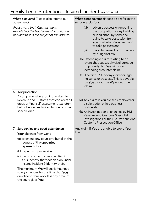### Family Legal Protection – Insured Incidents - continued

| What is covered (Please also refer to our<br>agreement)                                                                              |                                                                                                                                                                                                                                                                                                                                                                                                                                                                    | What is not covered (Please also refer to the<br>section exclusions)                                                                                                                                                                                                                                                                                                                                                                                                                                                                                  |  |
|--------------------------------------------------------------------------------------------------------------------------------------|--------------------------------------------------------------------------------------------------------------------------------------------------------------------------------------------------------------------------------------------------------------------------------------------------------------------------------------------------------------------------------------------------------------------------------------------------------------------|-------------------------------------------------------------------------------------------------------------------------------------------------------------------------------------------------------------------------------------------------------------------------------------------------------------------------------------------------------------------------------------------------------------------------------------------------------------------------------------------------------------------------------------------------------|--|
| Please note that <b>You</b> must have<br>established the legal ownership or right to<br>the land that is the subject of the dispute. |                                                                                                                                                                                                                                                                                                                                                                                                                                                                    | (vi)<br>adverse possession (meaning<br>the occupation of any building<br>or land either by someone<br>trying to take possession from<br>You or of which You are trying<br>to take possession)<br>the enforcement of a covenant<br>(vii)<br>by or against <b>You</b> .<br>(b) Defending a claim relating to an<br>event that causes physical damage<br>to property, but We will cover<br>defending a counter claim.<br>(c) The first £250 of any claim for legal<br>nuisance or trespass. This is payable<br>by You as soon as We accept the<br>claim. |  |
| 6                                                                                                                                    | Tax protection<br>A comprehensive examination by HM<br>Revenue and Customs that considers all<br>areas of Your self assessment tax return,<br>but not enquiries limited to one or more<br>specific area.                                                                                                                                                                                                                                                           | (a) Any claim if You are self employed or<br>a sole trader, or in a business<br>partnership.<br>(b) An investigation or enquiries by HM<br>Revenue and Customs Specialist<br>Investigations or the HM Revenue and<br><b>Customs Prosecution Office.</b>                                                                                                                                                                                                                                                                                               |  |
| $\prime$                                                                                                                             | Jury service and court attendance<br>Your absence from work:<br>(a) to attend any court or tribunal at the<br>request of the appointed<br>representative<br>(b) to perform jury service<br>(c) to carry out activities specified in<br>Your identity theft action plan under<br>Insured incident 9 Identity theft.<br>The maximum We will pay is Your net<br>salary or wages for the time that You<br>are absent from work less any amount<br>the court gives You. | Any claim if You are unable to prove Your<br>loss.                                                                                                                                                                                                                                                                                                                                                                                                                                                                                                    |  |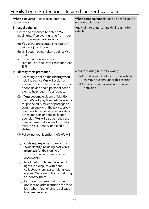### Family Legal Protection - Insured Incidents - continued

| What is covered (Please also refer to our<br>agreement) |                                                                                                                                                                                                                                                                                                                                                                                  | What is not covered (Please also refer to the<br>section exclusions)                                                                                                       |
|---------------------------------------------------------|----------------------------------------------------------------------------------------------------------------------------------------------------------------------------------------------------------------------------------------------------------------------------------------------------------------------------------------------------------------------------------|----------------------------------------------------------------------------------------------------------------------------------------------------------------------------|
| 8                                                       | Legal defence<br>Costs and expenses to defend <b>Your</b><br>legal rights if an event arising from your<br>work as an employee leads to<br>(a) You being prosecuted in a court of<br>criminal jurisdiction<br>(b) civil action being taken against You<br>under:<br>discrimination legislation<br>section 13 of the Data Protection Act                                          | Any claim relating to <b>You</b> driving a motor<br>vehicle.                                                                                                               |
|                                                         | 1998.                                                                                                                                                                                                                                                                                                                                                                            |                                                                                                                                                                            |
| 9                                                       | Identity theft protection<br>(1) Following a call to the identity theft<br>helpline service We will assign a<br>personal caseworker who will provide<br>phone advice and a personal action<br>plan to help regain <b>Your</b> identity.                                                                                                                                          | A claim relating to the following:<br>(a) fraud committed by anyone entitled<br>to make a claim under this section<br>(b) losses arising from Your business<br>activities. |
|                                                         | (2) If <b>You</b> become a victim of identity<br>theft, We will pay the costs You incur<br>for phone calls, faxes or postage to<br>communicate with the police, credit<br>agencies, financial service providers,<br>other creditors or debt-collection<br>agencies. We will also pay the cost<br>of replacement documents to help<br>restore Your identity and credit<br>status. |                                                                                                                                                                            |
|                                                         | (3) Following your identity theft We will<br>pay:                                                                                                                                                                                                                                                                                                                                |                                                                                                                                                                            |
|                                                         | (a) costs and expenses to reinstate<br>Your identity including costs and<br>expenses for the signing of<br>statutory declarations or similar<br>documents                                                                                                                                                                                                                        |                                                                                                                                                                            |
|                                                         | (b) legal costs to defend Your legal<br>rights in a dispute with debt<br>collectors or any party taking legal<br>against You arising from or relating<br>to identity theft                                                                                                                                                                                                       |                                                                                                                                                                            |
|                                                         | (c) loan rejection fees and any re-<br>application administration fee for a<br>loan when Your original application<br>has been rejected.                                                                                                                                                                                                                                         |                                                                                                                                                                            |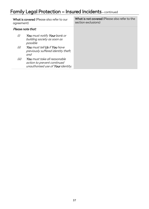### Family Legal Protection - Insured Incidents - continued

| What is covered (Please also refer to our<br>agreement) |                                                                                                          | What is not covered (Please also refer to the<br>section exclusions) |
|---------------------------------------------------------|----------------------------------------------------------------------------------------------------------|----------------------------------------------------------------------|
|                                                         | Please note that:                                                                                        |                                                                      |
| (i)                                                     | <b>You</b> must notify <b>Your</b> bank or<br>building society as soon as<br>possible                    |                                                                      |
| (ii)                                                    | You must tell Us if You have<br>previously suffered identity theft,<br>and                               |                                                                      |
| (iii)                                                   | <b>You</b> must take all reasonable<br>action to prevent continued<br>unauthorised use of Your identity. |                                                                      |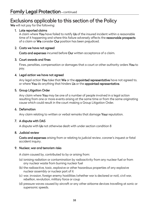# Exclusions applicable to this section of the Policy We will not pay for the following:

#### 1. Late reported claims

A claim where You have failed to notify Us of the insured incident within a reasonable time of it happening and where this failure adversely affects the reasonable prospects of a claim or We consider Our position has been prejudiced.

#### 2. Costs we have not agreed

Costs and expenses incurred before Our written acceptance of a claim.

#### 3. Court awards and fines

Fines, penalties, compensation or damages that a court or other authority orders You to pay.

#### 4. Legal action we have not agreed

Any legal action You take that We or the appointed representative have not agreed to, or where You do anything that hinders Us or the appointed representative.

#### 5. Group Litigation Order

Any claim where You may be one of a number of people involved in a legal action resulting from one or more events arising at the same time or from the same originating cause which could result in the court making a Group Litigation Order.

#### 6. Defamation

Any claim relating to written or verbal remarks that damage Your reputation.

#### 7. A dispute with DAS

A dispute with Us not otherwise dealt with under section condition 8

#### 8. Judicial review

Costs and expenses arising from or relating to judicial review, coroner's inquest or fatal accident inquiry.

#### 9. Nuclear, war and terrorism risks

A claim caused by, contributed to by or arising from:

- (a) ionising radiation or contamination by radioactivity from any nuclear fuel or from any nuclear waste from burning nuclear fuel
- (b) the radioactive, toxic, explosive or other hazardous properties of any explosive nuclear assembly or nuclear part of it
- (c) war, invasion, foreign enemy hostilities (whether war is declared or not), civil war, rebellion, revolution, military force or coup
- (d) pressure waves caused by aircraft or any other airborne devices travelling at sonic or supersonic speeds.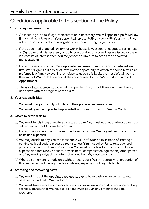### Conditions applicable to this section of the Policy

#### 1. Your legal representation

- (a) On receiving a claim, if legal representation is necessary, We will appoint a preferred law firm or in-house lawyer as Your appointed representative to deal with Your claim. They will try to settle Your claim by negotiation without having to go to court.
- (b) If the appointed preferred law firm or Our in-house lawyer cannot negotiate settlement of Our claim and it is necessary to go to court and legal proceedings are issued or there is a conflict of interest, then You may choose a law firm to act as the appointed representative.
- (c) If You choose a law firm as Your appointed representative who is not a preferred law firm, We will give Your choice of law firm the opportunity to act on the same terms as a preferred law firm. However if they refuse to act on this basis, the most We will pay is the amount We would have paid if they had agreed to the DAS Standard Terms of Appointment.
- (d) The appointed representative must co-operate with Us at all times and must keep Us up to date with the progress of the claim.

#### 2. Your responsibilities

- (a) You must co-operate fully with Us and the appointed representative.
- (b) You must give the appointed representative any instruction that We ask You to.

#### 3. Offers to settle a claim

- (a) You must tell Us if anyone offers to settle a claim. You must not negotiate or agree to a settlement without Our written consent.
- (b) If You do not accept a reasonable offer to settle a claim, We may refuse to pay further costs and expenses.
- (c) We may decide to pay You the reasonable value of Your claim, instead of starting or continuing legal action. In these circumstances You must allow Us to take over and pursue or settle any claim in Your name. You must also allow Us to pursue at Our own expense and for Our own benefit, any claim for compensation against any other person and You must give Us all the information and help We need to do so.
- (d) Where a settlement is made on a without-costs basis We will decide what proportion of that settlement will be regarded as costs and expenses and payable to Us.

### 4. Assessing and recovering costs

- (a) You must instruct the appointed representative to have costs and expenses taxed, assessed or audited if We ask for this.
- (b) You must take every step to recover costs and expenses and court attendance and jury service expenses that We have to pay and must pay Us any amounts that are recovered.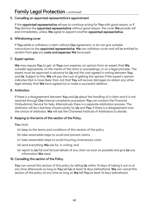#### 5. Cancelling an appointed representative's appointment

If the appointed representative refuses to continue acting for You with good reason, or if You dismiss the appointed representative without good reason, the cover We provide will end immediately, unless We agree to appoint another appointed representative.

#### 6. Withdrawing cover

If You settle or withdraw a claim without Our agreement, or do not give suitable instructions to the appointed representative, We can withdraw cover and will be entitled to reclaim from you any costs and expenses We have paid.

#### 7. Expert opinion

We may require You to get, at Your own expense, an opinion from an expert that We consider appropriate, on the merits of the claim or proceedings, or on a legal principle. The expert must be approved in advance by Us and the cost agreed in writing between You and Us. Subject to this, We will pay the cost of getting the opinion if the expert's opinion indicates that is more likely than not that You will recover damages (or obtain any other legal remedy that We have agreed to) or make a successful defence.

#### 8. Arbitration

If there is a disagreement between **You** and Us about the handling of a claim and it is not resolved through Our internal complaints procedure, You can contact the Financial Ombudsman Service for help. Alternatively there is a separate arbitration process. The arbitrator will be a barrister chosen jointly by Us and You. If there is a disagreement over the choice of arbitrator, We will ask the Chartered Institute of Arbitrators to decide.

#### 9. Keeping to the terms of this section of the Policy.

#### You must:

- (a) keep to the terms and conditions of this section of the policy
- (b) take reasonable steps to avoid and prevent claims
- (c) take reasonable steps to avoid incurring unnecessary costs
- (d) send everything We ask for, in writing, and
- (e) report to Us full and factual details of any claim as soon as possible and give Us any information We need.

#### 10. Cancelling this section of the Policy.

You can cancel this section of this policy by telling Us within 14 days of taking it out or at any time afterwards as long as You tell Us at least 14 days beforehand. We can cancel this section of the policy at any time as long as We tell You at least 14 days beforehand.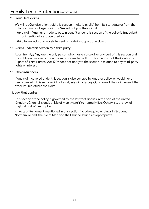### Family Legal Protection - continued

#### 11. Fraudulent claims

We will, at Our discretion, void this section (make it invalid) from its start date or from the date of claim, or alleged claim, or We will not pay the claim if:

- (a) a claim You have made to obtain benefit under this section of the policy is fraudulent or intentionally exaggerated, or
- (b) a false declaration or statement is made in support of a claim.

#### 12. Claims under this section by a third party

Apart from Us, You are the only person who may enforce all or any part of this section and the rights and interests arising from or connected with it. This means that the Contracts (Rights of Third Parties) Act 1999 does not apply to the section in relation to any third-party rights or interest.

#### 13. Other insurances

If any claim covered under this section is also covered by another policy, or would have been covered if this section did not exist, We will only pay Our share of the claim even if the other insurer refuses the claim.

#### 14. Law that applies

This section of the policy is governed by the law that applies in the part of the United Kingdom, Channel Islands or Isle of Man where **You** normally live. Otherwise, the law of England and Wales applies.

All Acts of Parliament mentioned in this section include equivalent laws in Scotland, Northern Ireland, the Isle of Man and the Channel Islands as appropriate.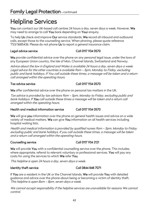Helpline Services<br>You can contact our UK-based call centres 24 hours a day, seven days a week. However, We may need to arrange to call You back depending on Your enquiry.

To help Us check and improve Our service standards, We record all inbound and outbound calls, except those to the counselling service. When phoning, please quote reference TS3/3685436. Please do not phone Us to report a general insurance claim.

### Legal advice service Call 0117 934 0570

We provide confidential advice over the phone on any personal legal issue, under the laws of any European Union country, the Isle of Man, Channel Islands, Switzerland and Norway.

Advice about the law in England and Wales is available 24 hours a day, seven days a week. Legal advice for the other countries is available 9am – 5pm, Monday to Friday, excluding public and bank holidays. If You call outside these times, a message will be taken and a return call arranged within the operating hours.

### Tax advice service Call 0117 934 0570

We offer confidential advice over the phone on personal tax matters in the UK.

Tax advice is provided by tax advisors 9am – 5pm, Monday to Friday, excluding public and bank holidays. If You call outside these times a message will be taken and a return call arranged within the operating hours.

#### Health and medical information service Call 0117 934 0570

We will give you information over the phone on general health issues and advice on a wide variety of medical matters. We can give You information on all health services including hospital waiting lists.

Health and medical information is provided by qualified nurses 9am – 5pm, Monday to Friday, excluding public and bank holidays. If you call outside these times, a message will be taken and a return call arranged within the operating hours.

### Counselling service Counselling Service

We will provide You with a confidential counselling service over the phone. This includes, where appropriate, referral to relevant voluntary or professional services. You will pay any costs for using the services to which We refer You.

This helpline is open 24 hours a day, seven days a week.

### Identity theft service Call 0844 848 7071

If You are a resident in the UK or the Channel Islands, We will provide You with detailed guidance and advice over the phone about being or becoming a victim of identity theft. This helpline is open 8am – 8pm, seven days a week.

We cannot accept responsibility if the helpline services are unavailable for reasons We cannot control.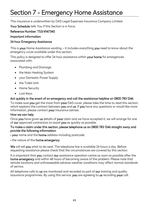## <span id="page-43-0"></span>Section 7 - Emergency Home Assistance

This insurance is underwritten by DAS Legal Expenses Insurance Company Limited.

Your Schedule tells You if this Section is in force.

#### Reference Number: TS3/4147340

#### Important information

#### 24 hour Emergency Assistance

This is your Home Assistance wording – it includes everything you need to know about the emergency cover available under this section.

This policy is designed to offer 24 hour assistance within your home for emergencies associated with:

- Plumbing and Drainage
- the Main Heating System
- your Domestic Power Supply
- the Toilet Unit
- Home Security
- Lost Keys

#### Act quickly in the event of an emergency and call the assistance helpline on 0800 783 1246

To make sure you get the most from your DAS cover, please take the time to read this section, which explains the contract between you and us. If you have any questions or would like more information, please contact your insurance adviser.

#### How we can help

Once you have given us details of your claim and we have accepted it, we will arrange for one of our approved contractors to assist you as quickly as possible.

#### To make a claim under this section, please telephone us on 0800 783 1246 straight away and provide the following information:

- your name and the home address including postcode;
- the nature of the home emergency.

We will tell you what to do next. The telephone line is available 24 hours a day. Before requesting assistance please check that the circumstances are covered by this section.

It is important that you contact our assistance operation centre as soon as possible after the home emergency and within 48 hours of becoming aware of the problem. Please note that remote locations and unforeseeable adverse weather conditions may affect normal standards of service.

All telephone calls to us are monitored and recorded as part of our training and quality assurance programmes. By using this service, you are agreeing to us recording your call.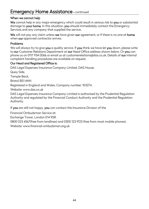### Emergency Home Assistance - continued

#### When we cannot help

We cannot help in any major emergency which could result in serious risk to you or substantial damage to your home. In this situation, you should immediately contact the Emergency Services and any company that supplied the service.

We will not pay any claim unless we have given our agreement, or if there is no one at home when our approved contractor arrives.

#### Problems

We will always try to give you a quality service. If you think we have let you down, please write to our Customer Relations Department at our Head Office address shown below. Or you can phone us on 0117 934 0066 or email us at customerrelations@das.co.uk. Details of our internal complaint handling procedures are available on request.

#### Our Head and Registered Office is:

DAS Legal Expenses Insurance Company Limited, DAS House,

Quay Side,

Temple Back,

Bristol BS1 6NH.

Registered in England and Wales. Company number: 103274.

Website: www.das.co.uk

DAS Legal Expenses Insurance Company Limited is authorised by the Prudential Regulation Authority and regulated by the Financial Conduct Authority and the Prudential Regulation Authority.

If you are still not happy, you can contact the Insurance Division of the

Financial Ombudsman Service at:

Exchange Tower, London E14 9SR.

0800 023 4567(free from landlines) and 0300 123 9123 (free from most mobile phones).

Website: www.financial-ombudsman.org.uk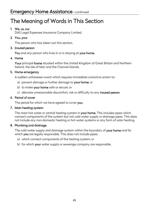### The Meaning of Words in This Section

#### 1. We, us, our

DAS Legal Expenses Insurance Company Limited.

#### 2. You, your

The person who has taken out this section.

#### 3. Insured person

You and any person who lives in or is staying at your home.

#### 4. Home

Your principal home situated within the United Kingdom of Great Britain and Northern Ireland, the Isle of Man and the Channel Islands.

#### 5. Home emergency

A sudden unforeseen event which requires immediate corrective action to:

- a) prevent damage or further damage to your home; or
- b) to make your home safe or secure; or
- c) alleviate unreasonable discomfort, risk or difficulty to any insured person.

#### 6. Period of cover

The period for which we have agreed to cover you.

#### 7. Main heating system

The main hot water or central heating system in your home. This includes pipes which connect components of the system but not cold water supply or drainage pipes. This does not include any non-domestic heating or hot water systems or any form of solar heating.

#### 8. Plumbing and drainage

The cold water supply and drainage system within the boundary of your home and for which you are legally responsible. This does not include pipes:

- a) which connect components of the heating system; or
- b) for which your water supply or sewerage company are responsible.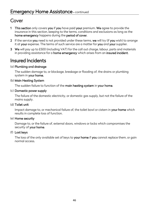### Cover

- 1 This section only covers you if you have paid your premium. We agree to provide the insurance in this section, keeping to the terms, conditions and exclusions as long as the home emergency happens during the period of cover.
- 2 If the service you need is not provided under these terms, we will try (if you wish) to arrange it at your expense. The terms of such service are a matter for you and your supplier.
- 3 We will pay up to £500 (including VAT) for the call out charge, labour, parts and materials in providing assistance for a home emergency which arises from an insured incident.

### Insured Incidents

#### (a) Plumbing and drainage

The sudden damage to, or blockage, breakage or flooding of, the drains or plumbing system in your home.

#### (b) Main Heating System

The sudden failure to function of the main heating system in your home.

#### (c) Domestic power supply

The failure of the domestic electricity, or domestic gas supply, but not the failure of the mains supply.

#### (d) Toilet unit

Impact damage to, or mechanical failure of, the toilet bowl or cistern in your home which results in complete loss of function.

#### (e) Home security

Damage to, or the failure of, external doors, windows or locks which compromises the security of your home.

#### (f) Lost keys

The loss of the only available set of keys to your home if you cannot replace them, or gain normal access.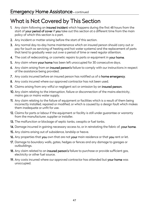### What is Not Covered by This Section

- 1. Any claim following an insured incident which happens during the first 48 hours from the start of your period of cover if you take out this section at a different time from the main policy of which this section is a part.
- 2. Any incident or matter arising before the start of this section.
- 3. Any normal day-to-day home maintenance which an insured person should carry out or pay for (such as servicing of heating and hot water systems) and the replacement of parts that tend to gradually wear out over a period of time or need regular attention.
- 4. The cost of redecorating, or cosmetic repairs to parts or equipment in your home.
- 5. Any claim where your home has been left unoccupied for 30 consecutive days.
- 6. Any claim arising from an insured person's failure to comply with our instructions in respect of the assistance being provided.
- 7. Any costs incurred before an insured person has notified us of a home emergency.
- 8. Any costs incurred where our approved contractor has not been used.
- 9. Claims arising from any wilful or negligent act or omission by an insured person.
- 10. Any claim relating to the interruption, failure or disconnection of the mains electricity, mains gas or mains water supply.
- 11. Any claim relating to the failure of equipment or facilities which is a result of them being incorrectly installed, repaired or modified, or which is caused by a design fault which makes them inadequate or unfit for use.
- 12. Claims for parts or labour if the equipment or facility is still under guarantee or warranty from the manufacturer, supplier or installer.
- 13. The malfunction or blockage of septic tanks, cesspits or fuel tanks.
- 14. Damage incurred in gaining necessary access to, or in reinstating the fabric of, your home.
- 15. Any claims arising out of subsidence, landslip or heave.
- 16. Any properties that you own that are not your main residence or that you rent or let.
- 17. Damage to boundary walls, gates, hedges or fences and any damage to garages or outbuildings.
- 18. Any claim related to an insured person's failure to purchase or provide sufficient gas, electricity or other fuel source.
- 19. Any costs incurred where our approved contractor has attended but your home was unoccupied.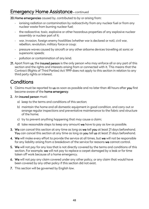### **Emergency Home Assistance - continued**

20.Home emergencies caused by, contributed to by or arising from:

- ionising radiation or contamination by radioactivity from any nuclear fuel or from any nuclear waste from burning nuclear fuel;
- the radioactive, toxic, explosive or other hazardous properties of any explosive nuclear assembly or nuclear part of it;
- war, invasion, foreign enemy hostilities (whether war is declared or not), civil war, rebellion, revolution, military force or coup;
- pressure waves caused by aircraft or any other airborne devices travelling at sonic or supersonic speeds;
- pollution or contamination of any kind.
- 21. Apart from us, the insured person is the only person who may enforce all or any part of this section and the rights and interests arising from or connected with it. This means that the Contract (Rights of Third Parties) Act 1999 does not apply to this section in relation to any third party rights or interest.

### **Conditions**

- 1. Claims must be reported to us as soon as possible and no later than 48 hours after you first become aware of the home emergency.
- 2. An insured person must:
	- a) keep to the terms and conditions of this section;
	- b) maintain the home and all domestic equipment in good condition, and carry out or arrange regular inspections and preventative maintenance to the fabric and structure of the home;
	- c) try to prevent anything happening that may cause a claim;
	- d) take reasonable steps to keep any amount we have to pay as low as possible.
- 3. We can cancel this section at any time as long as we tell you at least 21 days beforehand. You can cancel this section at any time as long as you tell us at least 21 days beforehand.
- 4. We will make every effort to provide the service at all times, but we will not be responsible for any liability arising from a breakdown of the service for reasons we cannot control.
- 5. We will not pay for any loss that is not directly covered by the terms and conditions of this section. For example, we will not pay to replace a carpet damaged by a leak or for time taken off work because of a home emergency.
- 6. We will not pay any claim covered under any other policy, or any claim that would have been covered by any other policy if this section did not exist.
- 7. This section will be governed by English law.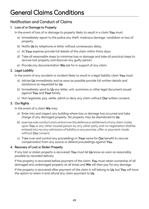### <span id="page-49-1"></span><span id="page-49-0"></span>Notification and Conduct of Claims

### 1. Loss of or Damage to Property

In the event of loss of or damage to property likely to result in a claim You must:

- a) Immediately report to the police any theft, malicious damage, vandalism or loss of property.
- b) Notify Us by telephone or letter without unnecessary delay.
- c) At Your expense provide full details of the claim within thirty days.
- d) Take all reasonable steps to minimise loss or damage and take all practical steps to recover lost property and discover any guilty person.
- e) Provide any documentation We ask for in support of any claim.

### 2. Legal Liability

In the event of any accident or incident likely to result in a legal liability claim You must:

- a) Advise Us immediately and as soon as possible provide full written details and assistance as requested by Us.
- b) Immediately send to Us any letter, writ, summons or other legal document issued against You and Your family.
- c) Not negotiate, pay, settle, admit or deny any claim without Our written consent.

### 3. Our Rights

In the event of a claim We may:

- a) Enter into and inspect any building where loss or damage has occurred and take charge of any damaged property. No property may be abandoned to Us.
- b) exercise sole conduct and control over the defence or settlement of any claim made upon You or any other insured person by any other party and no negotiation shall be entered into nor any admission of liability or any promise, offer or payment made without Our consent.
- c) Take over and control any proceedings in Your name for Our benefit to recover compensation from any source or defend proceedings against You.

### 4. Recovery of Lost or Stolen Property

If any lost or stolen property is recovered, **You** must let **Us** know as soon as reasonably possible by recorded delivery.

If the property is recovered before payment of the claim, You must retain ownership of all damaged and undamaged property at all times and We will then pay for any damage.

If the property is recovered after payment of the claim it will belong to Us, but You will have the option to retain it and refund any claim payment to Us.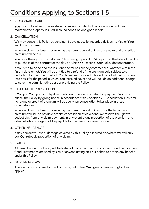### <span id="page-50-0"></span>1. REASONABLE CARE

You must take all reasonable steps to prevent accidents, loss or damage and must maintain the property insured in sound condition and good repair.

#### <span id="page-50-1"></span>2. CANCELLATION

We may cancel this Policy by sending 14 days notice by recorded delivery to You or Your last known address.

Where a claim has been made during the current period of insurance no refund or credit of premium will be due.

You have the right to cancel Your Policy during a period of 14 days after the later of the day of purchase of the contract or the day on which You receive Your Policy documentation.

If You wish to do so and the insurance cover has already commenced, whether within the first 14 days or not, You will be entitled to a refund of the premium paid subject to a deduction for the time for which You have been covered. This will be calculated on a prorata basis for the period in which You received cover and will include an additional charge to cover the administrative cost of providing the Policy.

#### 3. INSTALMENTS/DIRECT DEBIT

If You pay Your premium by direct debit and there is any default in payment We may cancel the Policy by giving notice in accordance with Condition 2 – Cancellation. However, no refund or credit of premium will be due when cancellation takes place in these circumstances.

Where a claim has been made during the current period of insurance the full annual premium will still be payable despite cancellation of cover and We reserve the right to deduct this from any claim payment. In any event a due proportion of the premium and administration charge shall be payable for the period of cover provided.

#### 4. OTHER INSURANCES

If any accidental loss or damage covered by this Policy is insured elsewhere We will only pay Our rateable proportion of any claim.

### 5. FRAUD

All benefit under this Policy will be forfeited if any claim is in any respect fraudulent or if any fraudulent means are used by You or anyone acting on Your behalf to obtain any benefit under this Policy.

#### 6. GOVERNING LAW

There is a choice of law for this Insurance, but unless We agree otherwise English law applies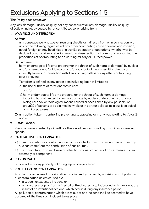# <span id="page-51-0"></span>Exclusions Applying to Sections 1-5<br>This Policy does not cover:

Any loss, damage, liability or injury nor any consequential loss, damage, liability or injury directly or indirectly caused by, or contributed to, or arising from:

#### 1. WAR RISKS AND TERRORISM

#### A) War

any consequence whatsoever resulting directly or indirectly from or in connection with any of the following regardless of any other contributing cause or event war, invasion, act of foreign enemy hostilities or a warlike operation or operations (whether war be declared or not) civil war rebellion revolution insurrection civil commotion assuming the proportions of or amounting to an uprising military or usurped power

#### B) Terrorism

harm or damage to life or to property (or the threat of such harm or damage) by nuclear and/or chemical and/or biological and/or radiological means resulting directly or indirectly from or in connection with Terrorism regardless of any other contributing cause or event.

Terrorism is defined as any act or acts including but not limited to

(a) the use or threat of force and/or violence

and/or

- (b) harm or damage to life or to property (or the threat of such harm or damage including but not limited to harm or damage by nuclear and/or chemical and/or biological and/ or radiological means caused or occasioned by any person(s) or group(s) of persons or so claimed in whole or in part for political religious ideological or similar purposes
- C) any action taken in controlling preventing suppressing or in any way relating to (A) or (B) above.

### 2. SONIC BANGS

Pressure waves created by aircraft or other aerial devices travelling at sonic or supersonic speeds.

#### 3. RADIOACTIVE CONTAMINATION

- (a) Ionising radiations or contamination by radioactivity from any nuclear fuel or from any nuclear waste from the combustion of nuclear fuel.
- (b) The radioactive, toxic, explosive or other hazardous properties of any explosive nuclear assembly or component.

### 4. LOSS IN VALUE

Loss in value of any property following repair or replacement.

#### 5. POLLUTION OR CONTAMINATION

Any claim or expense of any kind directly or indirectly caused by or arising out of pollution or contamination unless caused by:

- a sudden unexpected incident, or
- oil or water escaping from a fixed oil or fixed water installation, and which was not the result of an intentional act, and, which occurs during any insurance period.

All pollution or contamination which arises out of one incident shall be deemed to have occurred at the time such incident takes place.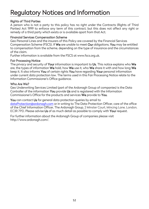## <span id="page-52-0"></span>Regulatory Notices and Information

#### Rights of Third Parties

A person who is not a party to this policy has no right under the Contracts (Rights of Third Parties) Act 1999 to enforce any term of this contract, but this does not affect any right or remedy of a third party which exists or is available apart from that Act.

#### Financial Services Compensation Scheme

Geo Personal Lines and the insurers of this Policy are covered by the Financial Services Compensation Scheme (FSCS). If We are unable to meet Our obligations, You may be entitled to compensation from the scheme, depending on the type of insurance and the circumstances of the claim.

Further information is available from the FSCS at [www.fscs.org.uk.](http://www.fscs.org.uk/)

#### Fair Processing Notice

The privacy and security of Your information is important to Us. This notice explains who We are, the types of information We hold, how We use it, who We share it with and how long We keep it. It also informs You of certain rights You have regarding Your personal information under current data protection law. The terms used in this Fair Processing Notice relate to the Information Commissioner's Office guidance.

#### Who Are We?

Geo Underwriting Services Limited (part of the Ardonagh Group of companies) is the Data Controller of the information You provide Us and is registered with the Information Commissioner's Office for the products and services We provide to You.

You can contact Us for general data protection queries by email to [dataProtection@ardonagh.com](mailto:dataProtection@ardonagh.com) or in writing to The Data Protection Officer, care of the office of the Chief Information Officer, The Ardonagh Group, 2 Minster Court, Mincing Lane, London, EC3R 7PD. Please advise Us of as much detail as possible to comply with Your request.

For further information about the Ardonagh Group of companies please visit [http://www.ardonagh.com/.](http://www.ardonagh.com/)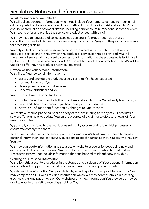### Regulatory Notices and Information - continued

#### What Information do we Collect?

We will collect personal information which may include Your name, telephone number, email address, postal address, occupation, date of birth, additional details of risks related to Your enquiry or product and payment details (including bank account number and sort code) which We need to offer and provide the service or product or deal with a claim.

We may need to request and collect sensitive personal information such as details of convictions or medical history that are necessary for providing You with the product, service or for processing a claim.

We only collect and process sensitive personal data where is it critical for the delivery of a product or service and without which the product or service cannot be provided. We will therefore not seek explicit consent to process this information as the processing is legitimised by its criticality to the service provision. If You object to use of this information, then We will be unable to offer You the product or service requested.

#### How do we use your personal information?

We will use Your personal information to

- assess and provide the products or services that You have requested
- communicate with You
- develop new products and services
- undertake statistical analysis

We may also take the opportunity to

- contact You about products that are closely related to those You already hold with Us
- provide additional assistance or tips about these products or services
- notify You of important functionality changes to Our websites

We make outbound phone calls for a variety of reasons relating to many of Our products or services (for example, to update You on the progress of a claim or to discuss renewal of Your insurance contract).

We are fully committed to the regulations set out by Ofcom and follow strict processes to ensure We comply with them.

To ensure confidentiality and security of the information We hold, We may need to request personal information and ask security questions to satisfy ourselves that You are who You say You are.

We may aggregate information and statistics on website usage or for developing new and existing products and services, and We may also provide this information to third parties. These statistics will not include information that can be used to identify any individual.

#### Securing Your Personal Information

We follow strict security procedures in the storage and disclosure of Your personal information in line with industry practices, including storage in electronic and paper formats.

We store all the information You provide to Us, including information provided via forms You may complete on Our websites, and information which We may collect from Your browsing (such as clicks and page views on Our websites). Any new information You provide Us may be used to update an existing record We hold for You.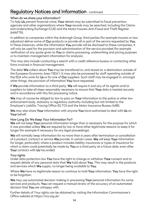### Regulatory Notices and Information - continued

#### When do we share your information?

To help Us prevent financial crime, Your details may be submitted to fraud prevention agencies and other organisations where Your records may be searched, including the Claims and Underwriting Exchange (CUE) and the Motor Insurers Anti-Fraud and Theft Register (MIAFTR).

In addition to companies within the Ardonagh Group, third parties (for example insurers or loss adjustors) deliver some of Our products or provide all or part of the service requested by You. In these instances, while the information You provide will be disclosed to these companies, it will only be used for the provision and administration of the service provided (for example verification of any quote given to You or claims processing, underwriting and pricing purposes or to maintain management information for analysis).

This may also include conducting a search with a credit reference bureau or contacting other firms involved in financial management.

The data We collect about You may be transferred to, and stored at, a destination outside of the European Economic Area ("EEA"). It may also be processed by staff operating outside of the EEA who work for Us or for one of Our suppliers. Such staff may be engaged in, amongst other things, the provision of information You have requested.

If We provide information to a third party, We will require it and any of its agents and/or suppliers to take all steps reasonably necessary to ensure that Your data is treated securely and in accordance with this fair processing notice.

We may of course be obliged by law to pass on Your information to the police or other law enforcement body, statutory or regulatory authority including but not limited to the Employer's Liability Tracing Office (ELTO) and the Motor Insurance Bureau (MIB).

We may also share Your information with anyone You have authorised to deal with Us on Your behalf.

#### How Long Do We Keep Your Information For?

We will not keep Your personal information longer than is necessary for the purpose for which it was provided unless We are required by law or have other legitimate reasons to keep it for longer (for example if necessary for any legal proceedings).

We will normally keep information for no more than 6 years after termination or cancellation of a product, contract or service We provide. In certain cases, We will keep Your information for longer, particularly where a product includes liability insurances or types of insurance for which a claim could potentially be made by You or a third party at a future date, even after Your contract with Us has ended.

#### Your rights

Under data protection law You have the right to change or withdraw Your consent and to request details of any personal data that We hold about You. This may result in the products and services which We supply, no longer being available to You.

Where We have no legitimate reason to continue to hold Your information, You have the right to be forgotten.

We may use automated decision making in processing Your personal information for some services and products. You can request a manual review of the accuracy of an automated decision that You are unhappy with.

Further details of Your rights can be obtained by visiting the Information Commissioner's Office website at<https://ico.org.uk/>